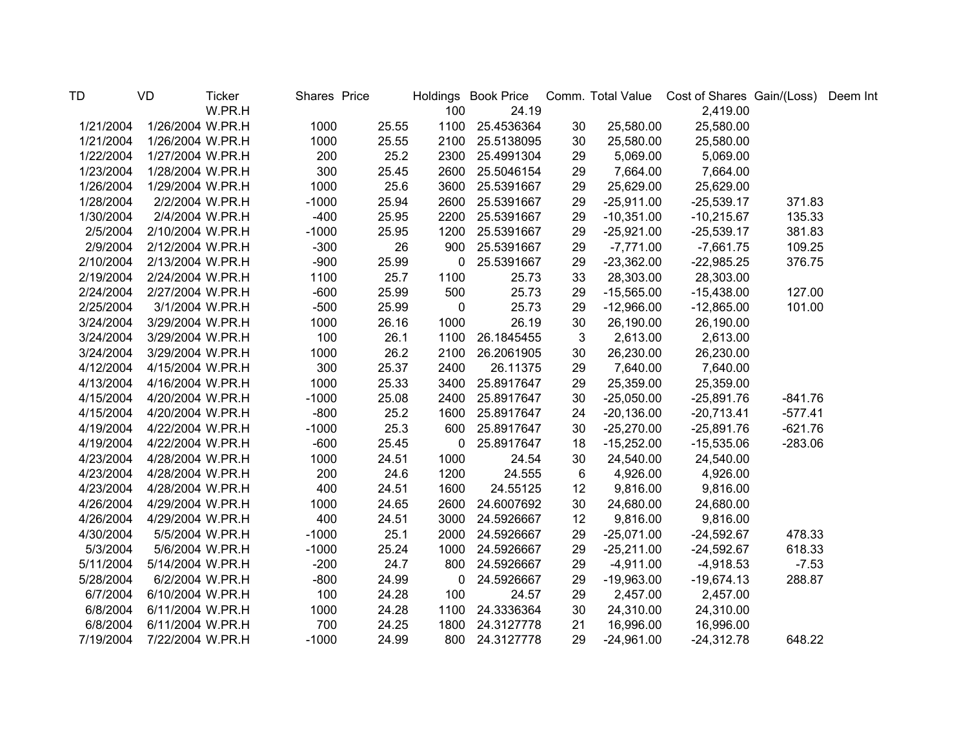| TD        | VD               | <b>Ticker</b> | Shares Price |       |              | Holdings Book Price |              |              | Comm. Total Value Cost of Shares Gain/(Loss) |           | Deem Int |
|-----------|------------------|---------------|--------------|-------|--------------|---------------------|--------------|--------------|----------------------------------------------|-----------|----------|
|           |                  | W.PR.H        |              |       | 100          | 24.19               |              |              | 2,419.00                                     |           |          |
| 1/21/2004 | 1/26/2004 W.PR.H |               | 1000         | 25.55 | 1100         | 25.4536364          | 30           | 25,580.00    | 25,580.00                                    |           |          |
| 1/21/2004 | 1/26/2004 W.PR.H |               | 1000         | 25.55 | 2100         | 25.5138095          | 30           | 25,580.00    | 25,580.00                                    |           |          |
| 1/22/2004 | 1/27/2004 W.PR.H |               | 200          | 25.2  | 2300         | 25.4991304          | 29           | 5,069.00     | 5,069.00                                     |           |          |
| 1/23/2004 | 1/28/2004 W.PR.H |               | 300          | 25.45 | 2600         | 25.5046154          | 29           | 7,664.00     | 7,664.00                                     |           |          |
| 1/26/2004 | 1/29/2004 W.PR.H |               | 1000         | 25.6  | 3600         | 25.5391667          | 29           | 25,629.00    | 25,629.00                                    |           |          |
| 1/28/2004 | 2/2/2004 W.PR.H  |               | $-1000$      | 25.94 | 2600         | 25.5391667          | 29           | $-25,911.00$ | $-25,539.17$                                 | 371.83    |          |
| 1/30/2004 | 2/4/2004 W.PR.H  |               | $-400$       | 25.95 | 2200         | 25.5391667          | 29           | $-10,351.00$ | $-10,215.67$                                 | 135.33    |          |
| 2/5/2004  | 2/10/2004 W.PR.H |               | $-1000$      | 25.95 | 1200         | 25.5391667          | 29           | $-25,921.00$ | $-25,539.17$                                 | 381.83    |          |
| 2/9/2004  | 2/12/2004 W.PR.H |               | $-300$       | 26    | 900          | 25.5391667          | 29           | $-7,771.00$  | $-7,661.75$                                  | 109.25    |          |
| 2/10/2004 | 2/13/2004 W.PR.H |               | $-900$       | 25.99 | 0            | 25.5391667          | 29           | $-23,362.00$ | $-22,985.25$                                 | 376.75    |          |
| 2/19/2004 | 2/24/2004 W.PR.H |               | 1100         | 25.7  | 1100         | 25.73               | 33           | 28,303.00    | 28,303.00                                    |           |          |
| 2/24/2004 | 2/27/2004 W.PR.H |               | $-600$       | 25.99 | 500          | 25.73               | 29           | $-15,565.00$ | $-15,438.00$                                 | 127.00    |          |
| 2/25/2004 | 3/1/2004 W.PR.H  |               | $-500$       | 25.99 | 0            | 25.73               | 29           | $-12,966.00$ | $-12,865.00$                                 | 101.00    |          |
| 3/24/2004 | 3/29/2004 W.PR.H |               | 1000         | 26.16 | 1000         | 26.19               | 30           | 26,190.00    | 26,190.00                                    |           |          |
| 3/24/2004 | 3/29/2004 W.PR.H |               | 100          | 26.1  | 1100         | 26.1845455          | $\mathbf{3}$ | 2,613.00     | 2,613.00                                     |           |          |
| 3/24/2004 | 3/29/2004 W.PR.H |               | 1000         | 26.2  | 2100         | 26.2061905          | 30           | 26,230.00    | 26,230.00                                    |           |          |
| 4/12/2004 | 4/15/2004 W.PR.H |               | 300          | 25.37 | 2400         | 26.11375            | 29           | 7,640.00     | 7,640.00                                     |           |          |
| 4/13/2004 | 4/16/2004 W.PR.H |               | 1000         | 25.33 | 3400         | 25.8917647          | 29           | 25,359.00    | 25,359.00                                    |           |          |
| 4/15/2004 | 4/20/2004 W.PR.H |               | $-1000$      | 25.08 | 2400         | 25.8917647          | 30           | $-25,050.00$ | $-25,891.76$                                 | $-841.76$ |          |
| 4/15/2004 | 4/20/2004 W.PR.H |               | $-800$       | 25.2  | 1600         | 25.8917647          | 24           | $-20,136.00$ | $-20,713.41$                                 | $-577.41$ |          |
| 4/19/2004 | 4/22/2004 W.PR.H |               | $-1000$      | 25.3  | 600          | 25.8917647          | 30           | $-25,270.00$ | $-25,891.76$                                 | $-621.76$ |          |
| 4/19/2004 | 4/22/2004 W.PR.H |               | $-600$       | 25.45 | $\mathbf{0}$ | 25.8917647          | 18           | $-15,252.00$ | $-15,535.06$                                 | $-283.06$ |          |
| 4/23/2004 | 4/28/2004 W.PR.H |               | 1000         | 24.51 | 1000         | 24.54               | 30           | 24,540.00    | 24,540.00                                    |           |          |
| 4/23/2004 | 4/28/2004 W.PR.H |               | 200          | 24.6  | 1200         | 24.555              | 6            | 4,926.00     | 4,926.00                                     |           |          |
| 4/23/2004 | 4/28/2004 W.PR.H |               | 400          | 24.51 | 1600         | 24.55125            | 12           | 9,816.00     | 9,816.00                                     |           |          |
| 4/26/2004 | 4/29/2004 W.PR.H |               | 1000         | 24.65 | 2600         | 24.6007692          | 30           | 24,680.00    | 24,680.00                                    |           |          |
| 4/26/2004 | 4/29/2004 W.PR.H |               | 400          | 24.51 | 3000         | 24.5926667          | 12           | 9,816.00     | 9,816.00                                     |           |          |
| 4/30/2004 | 5/5/2004 W.PR.H  |               | $-1000$      | 25.1  | 2000         | 24.5926667          | 29           | $-25,071.00$ | $-24,592.67$                                 | 478.33    |          |
| 5/3/2004  | 5/6/2004 W.PR.H  |               | $-1000$      | 25.24 | 1000         | 24.5926667          | 29           | $-25,211.00$ | $-24,592.67$                                 | 618.33    |          |
| 5/11/2004 | 5/14/2004 W.PR.H |               | $-200$       | 24.7  | 800          | 24.5926667          | 29           | $-4,911.00$  | $-4,918.53$                                  | $-7.53$   |          |
| 5/28/2004 | 6/2/2004 W.PR.H  |               | $-800$       | 24.99 | $\mathbf{0}$ | 24.5926667          | 29           | $-19,963.00$ | $-19,674.13$                                 | 288.87    |          |
| 6/7/2004  | 6/10/2004 W.PR.H |               | 100          | 24.28 | 100          | 24.57               | 29           | 2,457.00     | 2,457.00                                     |           |          |
| 6/8/2004  | 6/11/2004 W.PR.H |               | 1000         | 24.28 | 1100         | 24.3336364          | 30           | 24,310.00    | 24,310.00                                    |           |          |
| 6/8/2004  | 6/11/2004 W.PR.H |               | 700          | 24.25 | 1800         | 24.3127778          | 21           | 16,996.00    | 16,996.00                                    |           |          |
| 7/19/2004 | 7/22/2004 W.PR.H |               | $-1000$      | 24.99 | 800          | 24.3127778          | 29           | $-24,961.00$ | $-24,312.78$                                 | 648.22    |          |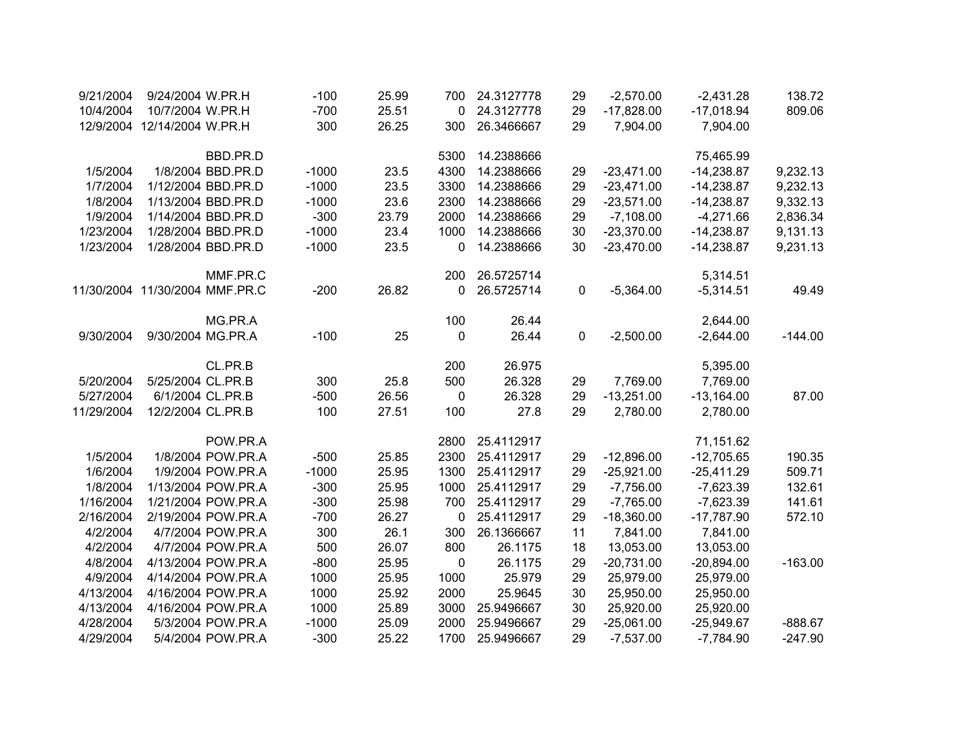| 9/21/2004  | 9/24/2004 W.PR.H               |                    | $-100$  | 25.99 | 700         | 24.3127778 | 29 | $-2,570.00$  | $-2,431.28$  | 138.72    |
|------------|--------------------------------|--------------------|---------|-------|-------------|------------|----|--------------|--------------|-----------|
| 10/4/2004  | 10/7/2004 W.PR.H               |                    | $-700$  | 25.51 | 0           | 24.3127778 | 29 | $-17,828.00$ | $-17,018.94$ | 809.06    |
|            | 12/9/2004 12/14/2004 W.PR.H    |                    | 300     | 26.25 | 300         | 26.3466667 | 29 | 7,904.00     | 7,904.00     |           |
|            |                                | BBD.PR.D           |         |       | 5300        | 14.2388666 |    |              | 75,465.99    |           |
| 1/5/2004   |                                | 1/8/2004 BBD.PR.D  | $-1000$ | 23.5  | 4300        | 14.2388666 | 29 | $-23,471.00$ | $-14,238.87$ | 9,232.13  |
| 1/7/2004   |                                | 1/12/2004 BBD.PR.D | $-1000$ | 23.5  | 3300        | 14.2388666 | 29 | $-23,471.00$ | $-14,238.87$ | 9,232.13  |
| 1/8/2004   |                                | 1/13/2004 BBD.PR.D | $-1000$ | 23.6  | 2300        | 14.2388666 | 29 | $-23,571.00$ | $-14,238.87$ | 9,332.13  |
| 1/9/2004   |                                | 1/14/2004 BBD.PR.D | $-300$  | 23.79 | 2000        | 14.2388666 | 29 | $-7,108.00$  | $-4,271.66$  | 2,836.34  |
| 1/23/2004  |                                | 1/28/2004 BBD.PR.D | $-1000$ | 23.4  | 1000        | 14.2388666 | 30 | $-23,370.00$ | $-14,238.87$ | 9,131.13  |
| 1/23/2004  |                                | 1/28/2004 BBD.PR.D | $-1000$ | 23.5  | 0           | 14.2388666 | 30 | $-23,470.00$ | $-14,238.87$ | 9,231.13  |
|            |                                | MMF.PR.C           |         |       | 200         | 26.5725714 |    |              | 5,314.51     |           |
|            | 11/30/2004 11/30/2004 MMF.PR.C |                    | $-200$  | 26.82 | 0           | 26.5725714 | 0  | $-5,364.00$  | $-5,314.51$  | 49.49     |
|            |                                | MG.PR.A            |         |       | 100         | 26.44      |    |              | 2,644.00     |           |
| 9/30/2004  | 9/30/2004 MG.PR.A              |                    | $-100$  | 25    | $\mathbf 0$ | 26.44      | 0  | $-2,500.00$  | $-2,644.00$  | $-144.00$ |
|            |                                | CL.PR.B            |         |       | 200         | 26.975     |    |              | 5,395.00     |           |
| 5/20/2004  | 5/25/2004 CL.PR.B              |                    | 300     | 25.8  | 500         | 26.328     | 29 | 7,769.00     | 7,769.00     |           |
| 5/27/2004  | 6/1/2004 CL.PR.B               |                    | $-500$  | 26.56 | $\mathbf 0$ | 26.328     | 29 | $-13,251.00$ | $-13,164.00$ | 87.00     |
| 11/29/2004 | 12/2/2004 CL.PR.B              |                    | 100     | 27.51 | 100         | 27.8       | 29 | 2,780.00     | 2,780.00     |           |
|            |                                | POW.PR.A           |         |       | 2800        | 25.4112917 |    |              | 71,151.62    |           |
| 1/5/2004   |                                | 1/8/2004 POW.PR.A  | $-500$  | 25.85 | 2300        | 25.4112917 | 29 | $-12,896.00$ | $-12,705.65$ | 190.35    |
| 1/6/2004   |                                | 1/9/2004 POW.PR.A  | $-1000$ | 25.95 | 1300        | 25.4112917 | 29 | $-25,921.00$ | $-25,411.29$ | 509.71    |
| 1/8/2004   |                                | 1/13/2004 POW.PR.A | $-300$  | 25.95 | 1000        | 25.4112917 | 29 | $-7,756.00$  | $-7,623.39$  | 132.61    |
| 1/16/2004  |                                | 1/21/2004 POW.PR.A | $-300$  | 25.98 | 700         | 25.4112917 | 29 | $-7,765.00$  | $-7,623.39$  | 141.61    |
| 2/16/2004  |                                | 2/19/2004 POW.PR.A | $-700$  | 26.27 | 0           | 25.4112917 | 29 | $-18,360.00$ | $-17,787.90$ | 572.10    |
| 4/2/2004   |                                | 4/7/2004 POW.PR.A  | 300     | 26.1  | 300         | 26.1366667 | 11 | 7,841.00     | 7,841.00     |           |
| 4/2/2004   |                                | 4/7/2004 POW.PR.A  | 500     | 26.07 | 800         | 26.1175    | 18 | 13,053.00    | 13,053.00    |           |
| 4/8/2004   |                                | 4/13/2004 POW.PR.A | $-800$  | 25.95 | 0           | 26.1175    | 29 | $-20,731.00$ | $-20,894.00$ | $-163.00$ |
| 4/9/2004   |                                | 4/14/2004 POW.PR.A | 1000    | 25.95 | 1000        | 25.979     | 29 | 25,979.00    | 25,979.00    |           |
| 4/13/2004  |                                | 4/16/2004 POW.PR.A | 1000    | 25.92 | 2000        | 25.9645    | 30 | 25,950.00    | 25,950.00    |           |
| 4/13/2004  |                                | 4/16/2004 POW.PR.A | 1000    | 25.89 | 3000        | 25.9496667 | 30 | 25,920.00    | 25,920.00    |           |
| 4/28/2004  |                                | 5/3/2004 POW.PR.A  | $-1000$ | 25.09 | 2000        | 25.9496667 | 29 | $-25,061.00$ | $-25,949.67$ | $-888.67$ |
| 4/29/2004  |                                | 5/4/2004 POW.PR.A  | $-300$  | 25.22 | 1700        | 25.9496667 | 29 | $-7,537.00$  | $-7,784.90$  | $-247.90$ |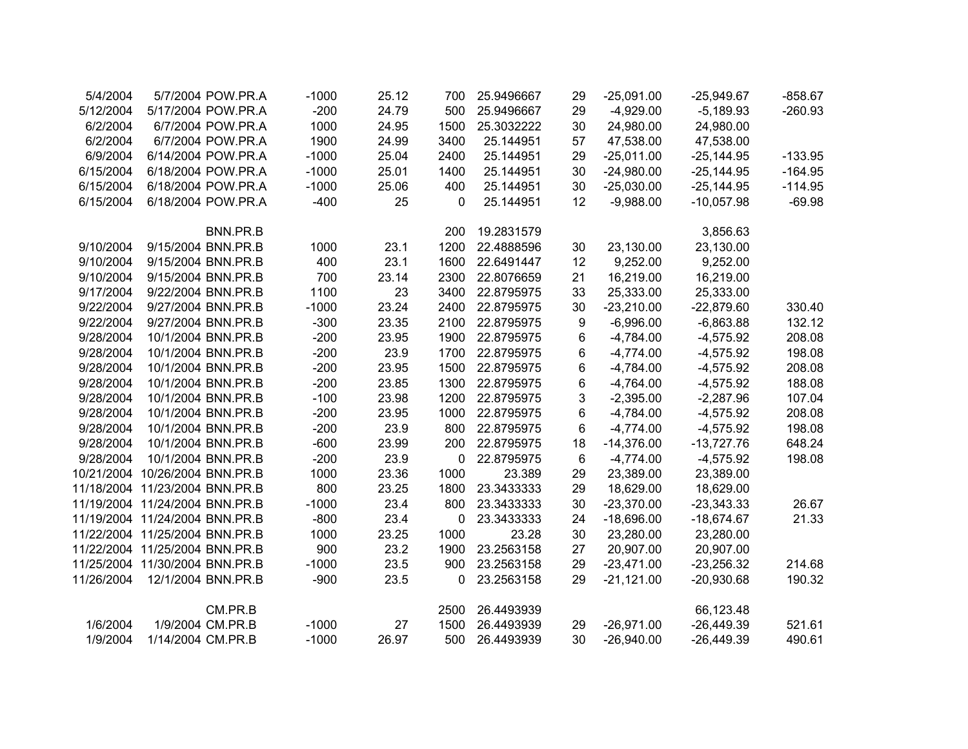| 5/4/2004   |                                | 5/7/2004 POW.PR.A  | $-1000$ | 25.12 | 700  | 25.9496667 | 29 | $-25,091.00$ | $-25,949.67$ | $-858.67$ |
|------------|--------------------------------|--------------------|---------|-------|------|------------|----|--------------|--------------|-----------|
| 5/12/2004  |                                | 5/17/2004 POW.PR.A | $-200$  | 24.79 | 500  | 25.9496667 | 29 | $-4,929.00$  | $-5,189.93$  | $-260.93$ |
| 6/2/2004   |                                | 6/7/2004 POW.PR.A  | 1000    | 24.95 | 1500 | 25.3032222 | 30 | 24,980.00    | 24,980.00    |           |
| 6/2/2004   |                                | 6/7/2004 POW.PR.A  | 1900    | 24.99 | 3400 | 25.144951  | 57 | 47,538.00    | 47,538.00    |           |
| 6/9/2004   |                                | 6/14/2004 POW.PR.A | $-1000$ | 25.04 | 2400 | 25.144951  | 29 | $-25,011.00$ | $-25,144.95$ | $-133.95$ |
| 6/15/2004  |                                | 6/18/2004 POW.PR.A | $-1000$ | 25.01 | 1400 | 25.144951  | 30 | $-24,980.00$ | $-25,144.95$ | $-164.95$ |
| 6/15/2004  |                                | 6/18/2004 POW.PR.A | $-1000$ | 25.06 | 400  | 25.144951  | 30 | $-25,030.00$ | $-25,144.95$ | $-114.95$ |
| 6/15/2004  |                                | 6/18/2004 POW.PR.A | $-400$  | 25    | 0    | 25.144951  | 12 | $-9,988.00$  | $-10,057.98$ | $-69.98$  |
|            |                                | BNN.PR.B           |         |       | 200  | 19.2831579 |    |              | 3,856.63     |           |
| 9/10/2004  | 9/15/2004 BNN.PR.B             |                    | 1000    | 23.1  | 1200 | 22.4888596 | 30 | 23,130.00    | 23,130.00    |           |
| 9/10/2004  | 9/15/2004 BNN.PR.B             |                    | 400     | 23.1  | 1600 | 22.6491447 | 12 | 9,252.00     | 9,252.00     |           |
| 9/10/2004  | 9/15/2004 BNN.PR.B             |                    | 700     | 23.14 | 2300 | 22.8076659 | 21 | 16,219.00    | 16,219.00    |           |
| 9/17/2004  | 9/22/2004 BNN.PR.B             |                    | 1100    | 23    | 3400 | 22.8795975 | 33 | 25,333.00    | 25,333.00    |           |
| 9/22/2004  | 9/27/2004 BNN.PR.B             |                    | $-1000$ | 23.24 | 2400 | 22.8795975 | 30 | $-23,210.00$ | $-22,879.60$ | 330.40    |
| 9/22/2004  | 9/27/2004 BNN.PR.B             |                    | $-300$  | 23.35 | 2100 | 22.8795975 | 9  | $-6,996.00$  | $-6,863.88$  | 132.12    |
| 9/28/2004  |                                | 10/1/2004 BNN.PR.B | $-200$  | 23.95 | 1900 | 22.8795975 | 6  | $-4,784.00$  | $-4,575.92$  | 208.08    |
| 9/28/2004  |                                | 10/1/2004 BNN.PR.B | $-200$  | 23.9  | 1700 | 22.8795975 | 6  | $-4,774.00$  | $-4,575.92$  | 198.08    |
| 9/28/2004  |                                | 10/1/2004 BNN.PR.B | $-200$  | 23.95 | 1500 | 22.8795975 | 6  | $-4,784.00$  | $-4,575.92$  | 208.08    |
| 9/28/2004  |                                | 10/1/2004 BNN.PR.B | $-200$  | 23.85 | 1300 | 22.8795975 | 6  | $-4,764.00$  | $-4,575.92$  | 188.08    |
| 9/28/2004  |                                | 10/1/2004 BNN.PR.B | $-100$  | 23.98 | 1200 | 22.8795975 | 3  | $-2,395.00$  | $-2,287.96$  | 107.04    |
| 9/28/2004  |                                | 10/1/2004 BNN.PR.B | $-200$  | 23.95 | 1000 | 22.8795975 | 6  | $-4,784.00$  | $-4,575.92$  | 208.08    |
| 9/28/2004  |                                | 10/1/2004 BNN.PR.B | $-200$  | 23.9  | 800  | 22.8795975 | 6  | $-4,774.00$  | $-4,575.92$  | 198.08    |
| 9/28/2004  |                                | 10/1/2004 BNN.PR.B | $-600$  | 23.99 | 200  | 22.8795975 | 18 | $-14,376.00$ | $-13,727.76$ | 648.24    |
| 9/28/2004  |                                | 10/1/2004 BNN.PR.B | $-200$  | 23.9  | 0    | 22.8795975 | 6  | $-4,774.00$  | $-4,575.92$  | 198.08    |
|            | 10/21/2004 10/26/2004 BNN.PR.B |                    | 1000    | 23.36 | 1000 | 23.389     | 29 | 23,389.00    | 23,389.00    |           |
|            | 11/18/2004 11/23/2004 BNN.PR.B |                    | 800     | 23.25 | 1800 | 23.3433333 | 29 | 18,629.00    | 18,629.00    |           |
|            | 11/19/2004 11/24/2004 BNN.PR.B |                    | $-1000$ | 23.4  | 800  | 23.3433333 | 30 | $-23,370.00$ | $-23,343.33$ | 26.67     |
|            | 11/19/2004 11/24/2004 BNN.PR.B |                    | $-800$  | 23.4  | 0    | 23.3433333 | 24 | $-18,696.00$ | $-18,674.67$ | 21.33     |
|            | 11/22/2004 11/25/2004 BNN.PR.B |                    | 1000    | 23.25 | 1000 | 23.28      | 30 | 23,280.00    | 23,280.00    |           |
|            | 11/22/2004 11/25/2004 BNN.PR.B |                    | 900     | 23.2  | 1900 | 23.2563158 | 27 | 20,907.00    | 20,907.00    |           |
|            | 11/25/2004 11/30/2004 BNN.PR.B |                    | $-1000$ | 23.5  | 900  | 23.2563158 | 29 | $-23,471.00$ | $-23,256.32$ | 214.68    |
| 11/26/2004 | 12/1/2004 BNN.PR.B             |                    | $-900$  | 23.5  | 0    | 23.2563158 | 29 | $-21,121.00$ | $-20,930.68$ | 190.32    |
|            |                                | CM.PR.B            |         |       | 2500 | 26.4493939 |    |              | 66,123.48    |           |
| 1/6/2004   |                                | 1/9/2004 CM.PR.B   | $-1000$ | 27    | 1500 | 26.4493939 | 29 | $-26,971.00$ | $-26,449.39$ | 521.61    |
| 1/9/2004   | 1/14/2004 CM.PR.B              |                    | $-1000$ | 26.97 | 500  | 26.4493939 | 30 | $-26,940.00$ | $-26,449.39$ | 490.61    |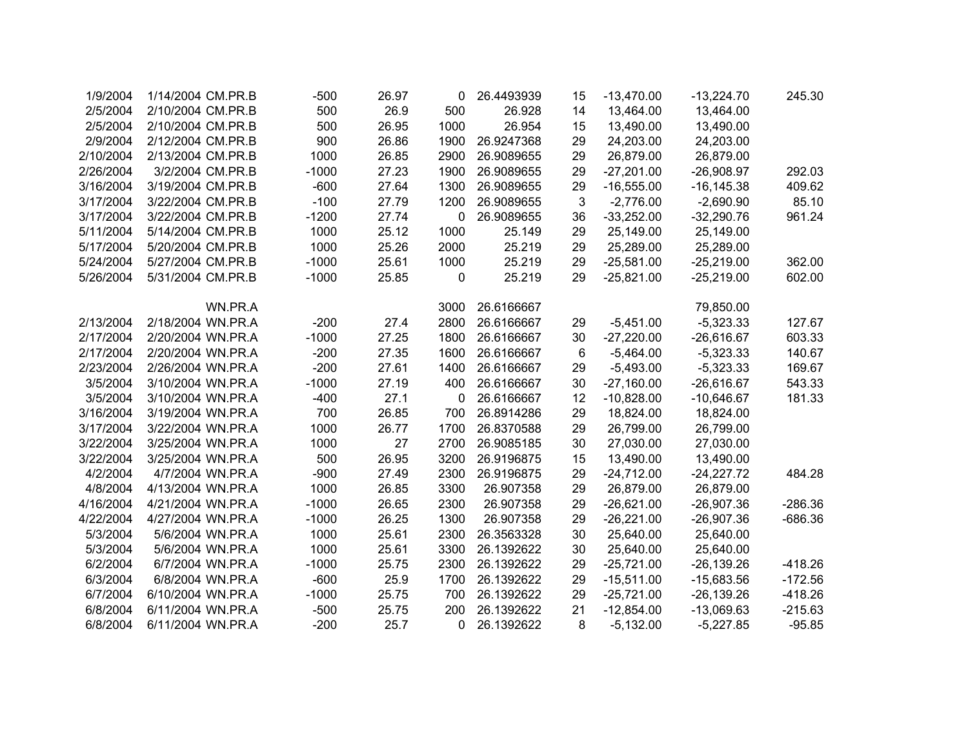| 1/9/2004  | 1/14/2004 CM.PR.B | $-500$  | 26.97 | 0    | 26.4493939 | 15 | $-13,470.00$ | $-13,224.70$  | 245.30    |
|-----------|-------------------|---------|-------|------|------------|----|--------------|---------------|-----------|
| 2/5/2004  | 2/10/2004 CM.PR.B | 500     | 26.9  | 500  | 26.928     | 14 | 13,464.00    | 13,464.00     |           |
| 2/5/2004  | 2/10/2004 CM.PR.B | 500     | 26.95 | 1000 | 26.954     | 15 | 13,490.00    | 13,490.00     |           |
| 2/9/2004  | 2/12/2004 CM.PR.B | 900     | 26.86 | 1900 | 26.9247368 | 29 | 24,203.00    | 24,203.00     |           |
| 2/10/2004 | 2/13/2004 CM.PR.B | 1000    | 26.85 | 2900 | 26.9089655 | 29 | 26,879.00    | 26,879.00     |           |
| 2/26/2004 | 3/2/2004 CM.PR.B  | $-1000$ | 27.23 | 1900 | 26.9089655 | 29 | $-27,201.00$ | $-26,908.97$  | 292.03    |
| 3/16/2004 | 3/19/2004 CM.PR.B | $-600$  | 27.64 | 1300 | 26.9089655 | 29 | $-16,555.00$ | $-16, 145.38$ | 409.62    |
| 3/17/2004 | 3/22/2004 CM.PR.B | $-100$  | 27.79 | 1200 | 26.9089655 | 3  | $-2,776.00$  | $-2,690.90$   | 85.10     |
| 3/17/2004 | 3/22/2004 CM.PR.B | $-1200$ | 27.74 | 0    | 26.9089655 | 36 | $-33,252.00$ | $-32,290.76$  | 961.24    |
| 5/11/2004 | 5/14/2004 CM.PR.B | 1000    | 25.12 | 1000 | 25.149     | 29 | 25,149.00    | 25,149.00     |           |
| 5/17/2004 | 5/20/2004 CM.PR.B | 1000    | 25.26 | 2000 | 25.219     | 29 | 25,289.00    | 25,289.00     |           |
| 5/24/2004 | 5/27/2004 CM.PR.B | $-1000$ | 25.61 | 1000 | 25.219     | 29 | $-25,581.00$ | $-25,219.00$  | 362.00    |
| 5/26/2004 | 5/31/2004 CM.PR.B | $-1000$ | 25.85 | 0    | 25.219     | 29 | $-25,821.00$ | $-25,219.00$  | 602.00    |
|           |                   |         |       |      |            |    |              |               |           |
|           | WN.PR.A           |         |       | 3000 | 26.6166667 |    |              | 79,850.00     |           |
| 2/13/2004 | 2/18/2004 WN.PR.A | $-200$  | 27.4  | 2800 | 26.6166667 | 29 | $-5,451.00$  | $-5,323.33$   | 127.67    |
| 2/17/2004 | 2/20/2004 WN.PR.A | $-1000$ | 27.25 | 1800 | 26.6166667 | 30 | $-27,220.00$ | $-26,616.67$  | 603.33    |
| 2/17/2004 | 2/20/2004 WN.PR.A | $-200$  | 27.35 | 1600 | 26.6166667 | 6  | $-5,464.00$  | $-5,323.33$   | 140.67    |
| 2/23/2004 | 2/26/2004 WN.PR.A | $-200$  | 27.61 | 1400 | 26.6166667 | 29 | $-5,493.00$  | $-5,323.33$   | 169.67    |
| 3/5/2004  | 3/10/2004 WN.PR.A | $-1000$ | 27.19 | 400  | 26.6166667 | 30 | $-27,160.00$ | $-26,616.67$  | 543.33    |
| 3/5/2004  | 3/10/2004 WN.PR.A | $-400$  | 27.1  | 0    | 26.6166667 | 12 | $-10,828.00$ | $-10,646.67$  | 181.33    |
| 3/16/2004 | 3/19/2004 WN.PR.A | 700     | 26.85 | 700  | 26.8914286 | 29 | 18,824.00    | 18,824.00     |           |
| 3/17/2004 | 3/22/2004 WN.PR.A | 1000    | 26.77 | 1700 | 26.8370588 | 29 | 26,799.00    | 26,799.00     |           |
| 3/22/2004 | 3/25/2004 WN.PR.A | 1000    | 27    | 2700 | 26.9085185 | 30 | 27,030.00    | 27,030.00     |           |
| 3/22/2004 | 3/25/2004 WN.PR.A | 500     | 26.95 | 3200 | 26.9196875 | 15 | 13,490.00    | 13,490.00     |           |
| 4/2/2004  | 4/7/2004 WN.PR.A  | $-900$  | 27.49 | 2300 | 26.9196875 | 29 | $-24,712.00$ | $-24,227.72$  | 484.28    |
| 4/8/2004  | 4/13/2004 WN.PR.A | 1000    | 26.85 | 3300 | 26.907358  | 29 | 26,879.00    | 26,879.00     |           |
| 4/16/2004 | 4/21/2004 WN.PR.A | $-1000$ | 26.65 | 2300 | 26.907358  | 29 | $-26,621.00$ | $-26,907.36$  | $-286.36$ |
| 4/22/2004 | 4/27/2004 WN.PR.A | $-1000$ | 26.25 | 1300 | 26.907358  | 29 | $-26,221.00$ | $-26,907.36$  | $-686.36$ |
| 5/3/2004  | 5/6/2004 WN.PR.A  | 1000    | 25.61 | 2300 | 26.3563328 | 30 | 25,640.00    | 25,640.00     |           |
| 5/3/2004  | 5/6/2004 WN.PR.A  | 1000    | 25.61 | 3300 | 26.1392622 | 30 | 25,640.00    | 25,640.00     |           |
| 6/2/2004  | 6/7/2004 WN.PR.A  | $-1000$ | 25.75 | 2300 | 26.1392622 | 29 | $-25,721.00$ | $-26, 139.26$ | $-418.26$ |
| 6/3/2004  | 6/8/2004 WN.PR.A  | $-600$  | 25.9  | 1700 | 26.1392622 | 29 | $-15,511.00$ | $-15,683.56$  | $-172.56$ |
| 6/7/2004  | 6/10/2004 WN.PR.A | $-1000$ | 25.75 | 700  | 26.1392622 | 29 | $-25,721.00$ | $-26, 139.26$ | $-418.26$ |
| 6/8/2004  | 6/11/2004 WN.PR.A | $-500$  | 25.75 | 200  | 26.1392622 | 21 | $-12,854.00$ | $-13,069.63$  | $-215.63$ |
| 6/8/2004  | 6/11/2004 WN.PR.A | $-200$  | 25.7  | 0    | 26.1392622 | 8  | $-5,132.00$  | $-5,227.85$   | $-95.85$  |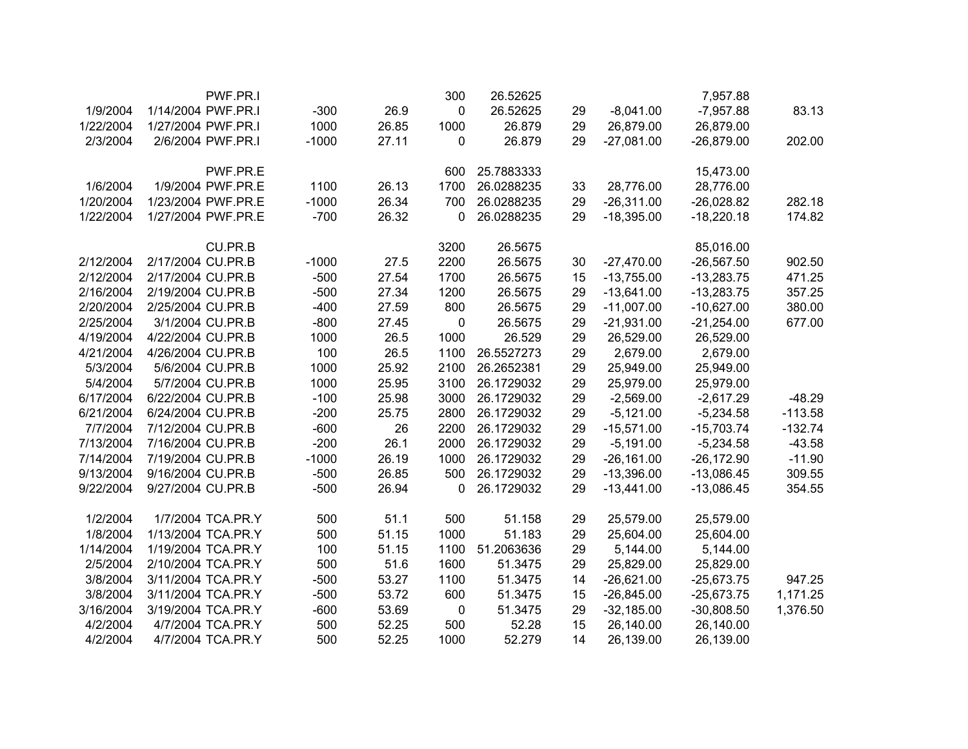|           | PWF.PR.I           |         |       | 300         | 26.52625   |    |              | 7,957.88     |           |
|-----------|--------------------|---------|-------|-------------|------------|----|--------------|--------------|-----------|
| 1/9/2004  | 1/14/2004 PWF.PR.I | $-300$  | 26.9  | $\pmb{0}$   | 26.52625   | 29 | $-8,041.00$  | $-7,957.88$  | 83.13     |
| 1/22/2004 | 1/27/2004 PWF.PR.I | 1000    | 26.85 | 1000        | 26.879     | 29 | 26,879.00    | 26,879.00    |           |
| 2/3/2004  | 2/6/2004 PWF.PR.I  | $-1000$ | 27.11 | 0           | 26.879     | 29 | $-27,081.00$ | $-26,879.00$ | 202.00    |
|           | PWF.PR.E           |         |       | 600         | 25.7883333 |    |              | 15,473.00    |           |
| 1/6/2004  | 1/9/2004 PWF.PR.E  | 1100    | 26.13 | 1700        | 26.0288235 | 33 | 28,776.00    | 28,776.00    |           |
| 1/20/2004 | 1/23/2004 PWF.PR.E | $-1000$ | 26.34 | 700         | 26.0288235 | 29 | $-26,311.00$ | $-26,028.82$ | 282.18    |
| 1/22/2004 | 1/27/2004 PWF.PR.E | $-700$  | 26.32 | 0           | 26.0288235 | 29 | $-18,395.00$ | $-18,220.18$ | 174.82    |
|           | CU.PR.B            |         |       | 3200        | 26.5675    |    |              | 85,016.00    |           |
| 2/12/2004 | 2/17/2004 CU.PR.B  | $-1000$ | 27.5  | 2200        | 26.5675    | 30 | $-27,470.00$ | $-26,567.50$ | 902.50    |
| 2/12/2004 | 2/17/2004 CU.PR.B  | $-500$  | 27.54 | 1700        | 26.5675    | 15 | $-13,755.00$ | $-13,283.75$ | 471.25    |
| 2/16/2004 | 2/19/2004 CU.PR.B  | $-500$  | 27.34 | 1200        | 26.5675    | 29 | $-13,641.00$ | $-13,283.75$ | 357.25    |
| 2/20/2004 | 2/25/2004 CU.PR.B  | $-400$  | 27.59 | 800         | 26.5675    | 29 | $-11,007.00$ | $-10,627.00$ | 380.00    |
| 2/25/2004 | 3/1/2004 CU.PR.B   | $-800$  | 27.45 | 0           | 26.5675    | 29 | $-21,931.00$ | $-21,254.00$ | 677.00    |
| 4/19/2004 | 4/22/2004 CU.PR.B  | 1000    | 26.5  | 1000        | 26.529     | 29 | 26,529.00    | 26,529.00    |           |
| 4/21/2004 | 4/26/2004 CU.PR.B  | 100     | 26.5  | 1100        | 26.5527273 | 29 | 2,679.00     | 2,679.00     |           |
| 5/3/2004  | 5/6/2004 CU.PR.B   | 1000    | 25.92 | 2100        | 26.2652381 | 29 | 25,949.00    | 25,949.00    |           |
| 5/4/2004  | 5/7/2004 CU.PR.B   | 1000    | 25.95 | 3100        | 26.1729032 | 29 | 25,979.00    | 25,979.00    |           |
| 6/17/2004 | 6/22/2004 CU.PR.B  | $-100$  | 25.98 | 3000        | 26.1729032 | 29 | $-2,569.00$  | $-2,617.29$  | $-48.29$  |
| 6/21/2004 | 6/24/2004 CU.PR.B  | $-200$  | 25.75 | 2800        | 26.1729032 | 29 | $-5,121.00$  | $-5,234.58$  | $-113.58$ |
| 7/7/2004  | 7/12/2004 CU.PR.B  | $-600$  | 26    | 2200        | 26.1729032 | 29 | $-15,571.00$ | $-15,703.74$ | $-132.74$ |
| 7/13/2004 | 7/16/2004 CU.PR.B  | $-200$  | 26.1  | 2000        | 26.1729032 | 29 | $-5,191.00$  | $-5,234.58$  | $-43.58$  |
| 7/14/2004 | 7/19/2004 CU.PR.B  | $-1000$ | 26.19 | 1000        | 26.1729032 | 29 | $-26,161.00$ | $-26,172.90$ | $-11.90$  |
| 9/13/2004 | 9/16/2004 CU.PR.B  | $-500$  | 26.85 | 500         | 26.1729032 | 29 | $-13,396.00$ | $-13,086.45$ | 309.55    |
| 9/22/2004 | 9/27/2004 CU.PR.B  | $-500$  | 26.94 | 0           | 26.1729032 | 29 | $-13,441.00$ | $-13,086.45$ | 354.55    |
| 1/2/2004  | 1/7/2004 TCA.PR.Y  | 500     | 51.1  | 500         | 51.158     | 29 | 25,579.00    | 25,579.00    |           |
| 1/8/2004  | 1/13/2004 TCA.PR.Y | 500     | 51.15 | 1000        | 51.183     | 29 | 25,604.00    | 25,604.00    |           |
| 1/14/2004 | 1/19/2004 TCA.PR.Y | 100     | 51.15 | 1100        | 51.2063636 | 29 | 5,144.00     | 5,144.00     |           |
| 2/5/2004  | 2/10/2004 TCA.PR.Y | 500     | 51.6  | 1600        | 51.3475    | 29 | 25,829.00    | 25,829.00    |           |
| 3/8/2004  | 3/11/2004 TCA.PR.Y | $-500$  | 53.27 | 1100        | 51.3475    | 14 | $-26,621.00$ | $-25,673.75$ | 947.25    |
| 3/8/2004  | 3/11/2004 TCA.PR.Y | $-500$  | 53.72 | 600         | 51.3475    | 15 | $-26,845.00$ | $-25,673.75$ | 1,171.25  |
| 3/16/2004 | 3/19/2004 TCA.PR.Y | $-600$  | 53.69 | $\mathbf 0$ | 51.3475    | 29 | $-32,185.00$ | $-30,808.50$ | 1,376.50  |
| 4/2/2004  | 4/7/2004 TCA.PR.Y  | 500     | 52.25 | 500         | 52.28      | 15 | 26,140.00    | 26,140.00    |           |
| 4/2/2004  | 4/7/2004 TCA.PR.Y  | 500     | 52.25 | 1000        | 52.279     | 14 | 26,139.00    | 26,139.00    |           |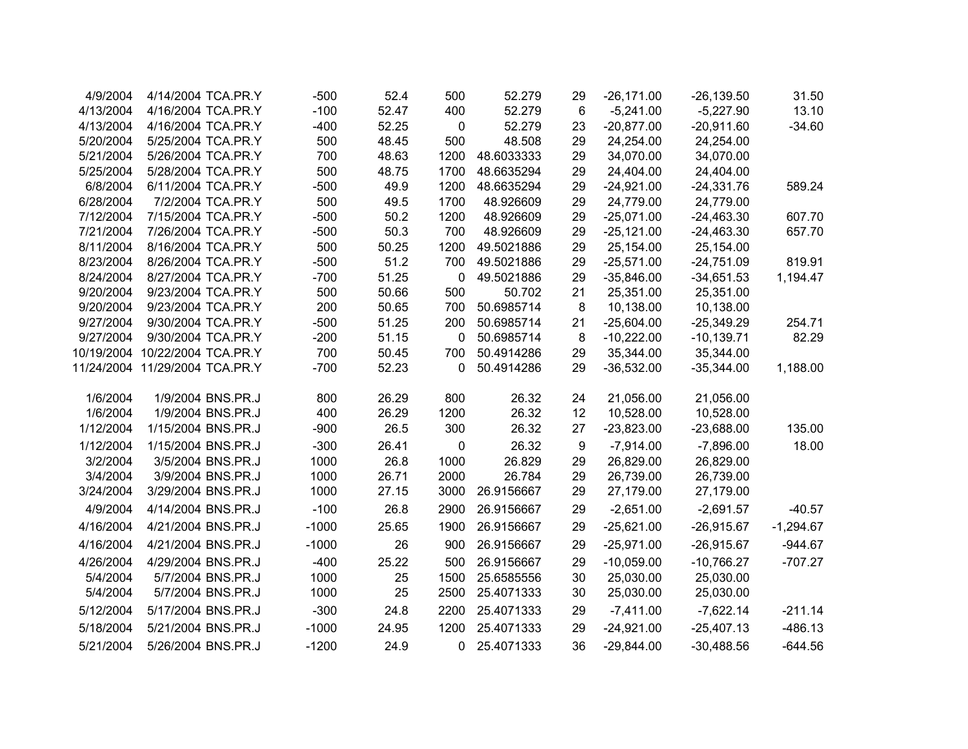| 4/9/2004  |                                | 4/14/2004 TCA.PR.Y | $-500$  | 52.4  | 500              | 52.279     | 29              | $-26,171.00$ | $-26, 139.50$ | 31.50       |
|-----------|--------------------------------|--------------------|---------|-------|------------------|------------|-----------------|--------------|---------------|-------------|
| 4/13/2004 |                                | 4/16/2004 TCA.PR.Y | $-100$  | 52.47 | 400              | 52.279     | $6\phantom{1}6$ | $-5,241.00$  | $-5,227.90$   | 13.10       |
| 4/13/2004 |                                | 4/16/2004 TCA.PR.Y | $-400$  | 52.25 | $\mathbf 0$      | 52.279     | 23              | $-20,877.00$ | $-20,911.60$  | $-34.60$    |
| 5/20/2004 |                                | 5/25/2004 TCA.PR.Y | 500     | 48.45 | 500              | 48.508     | 29              | 24,254.00    | 24,254.00     |             |
| 5/21/2004 |                                | 5/26/2004 TCA.PR.Y | 700     | 48.63 | 1200             | 48.6033333 | 29              | 34,070.00    | 34,070.00     |             |
| 5/25/2004 |                                | 5/28/2004 TCA.PR.Y | 500     | 48.75 | 1700             | 48.6635294 | 29              | 24,404.00    | 24,404.00     |             |
| 6/8/2004  |                                | 6/11/2004 TCA.PR.Y | $-500$  | 49.9  | 1200             | 48.6635294 | 29              | $-24,921.00$ | $-24,331.76$  | 589.24      |
| 6/28/2004 |                                | 7/2/2004 TCA.PR.Y  | 500     | 49.5  | 1700             | 48.926609  | 29              | 24,779.00    | 24,779.00     |             |
| 7/12/2004 |                                | 7/15/2004 TCA.PR.Y | $-500$  | 50.2  | 1200             | 48.926609  | 29              | $-25,071.00$ | $-24,463.30$  | 607.70      |
| 7/21/2004 |                                | 7/26/2004 TCA.PR.Y | $-500$  | 50.3  | 700              | 48.926609  | 29              | $-25,121.00$ | $-24,463.30$  | 657.70      |
| 8/11/2004 |                                | 8/16/2004 TCA.PR.Y | 500     | 50.25 | 1200             | 49.5021886 | 29              | 25,154.00    | 25,154.00     |             |
| 8/23/2004 |                                | 8/26/2004 TCA.PR.Y | $-500$  | 51.2  | 700              | 49.5021886 | 29              | $-25,571.00$ | $-24,751.09$  | 819.91      |
| 8/24/2004 |                                | 8/27/2004 TCA.PR.Y | $-700$  | 51.25 | 0                | 49.5021886 | 29              | $-35,846.00$ | $-34,651.53$  | 1,194.47    |
| 9/20/2004 |                                | 9/23/2004 TCA.PR.Y | 500     | 50.66 | 500              | 50.702     | 21              | 25,351.00    | 25,351.00     |             |
| 9/20/2004 |                                | 9/23/2004 TCA.PR.Y | 200     | 50.65 | 700              | 50.6985714 | 8               | 10,138.00    | 10,138.00     |             |
| 9/27/2004 |                                | 9/30/2004 TCA.PR.Y | $-500$  | 51.25 | 200              | 50.6985714 | 21              | $-25,604.00$ | $-25,349.29$  | 254.71      |
| 9/27/2004 |                                | 9/30/2004 TCA.PR.Y | $-200$  | 51.15 | 0                | 50.6985714 | 8               | $-10,222.00$ | $-10,139.71$  | 82.29       |
|           | 10/19/2004 10/22/2004 TCA.PR.Y |                    | 700     | 50.45 | 700              | 50.4914286 | 29              | 35,344.00    | 35,344.00     |             |
|           | 11/24/2004 11/29/2004 TCA.PR.Y |                    | $-700$  | 52.23 | 0                | 50.4914286 | 29              | $-36,532.00$ | $-35,344.00$  | 1,188.00    |
|           |                                |                    |         |       |                  |            |                 |              |               |             |
| 1/6/2004  |                                | 1/9/2004 BNS.PR.J  | 800     | 26.29 | 800              | 26.32      | 24              | 21,056.00    | 21,056.00     |             |
| 1/6/2004  |                                | 1/9/2004 BNS.PR.J  | 400     | 26.29 | 1200             | 26.32      | 12              | 10,528.00    | 10,528.00     |             |
| 1/12/2004 |                                | 1/15/2004 BNS.PR.J | $-900$  | 26.5  | 300              | 26.32      | 27              | $-23,823.00$ | $-23,688.00$  | 135.00      |
| 1/12/2004 |                                | 1/15/2004 BNS.PR.J | $-300$  | 26.41 | $\boldsymbol{0}$ | 26.32      | 9               | $-7,914.00$  | $-7,896.00$   | 18.00       |
| 3/2/2004  |                                | 3/5/2004 BNS.PR.J  | 1000    | 26.8  | 1000             | 26.829     | 29              | 26,829.00    | 26,829.00     |             |
| 3/4/2004  |                                | 3/9/2004 BNS.PR.J  | 1000    | 26.71 | 2000             | 26.784     | 29              | 26,739.00    | 26,739.00     |             |
| 3/24/2004 |                                | 3/29/2004 BNS.PR.J | 1000    | 27.15 | 3000             | 26.9156667 | 29              | 27,179.00    | 27,179.00     |             |
| 4/9/2004  | 4/14/2004 BNS.PR.J             |                    | $-100$  | 26.8  | 2900             | 26.9156667 | 29              | $-2,651.00$  | $-2,691.57$   | $-40.57$    |
| 4/16/2004 | 4/21/2004 BNS.PR.J             |                    | $-1000$ | 25.65 | 1900             | 26.9156667 | 29              | $-25,621.00$ | $-26,915.67$  | $-1,294.67$ |
| 4/16/2004 | 4/21/2004 BNS.PR.J             |                    | $-1000$ | 26    | 900              | 26.9156667 | 29              | $-25,971.00$ | $-26,915.67$  | $-944.67$   |
| 4/26/2004 | 4/29/2004 BNS.PR.J             |                    | $-400$  | 25.22 | 500              | 26.9156667 | 29              | $-10,059.00$ | $-10,766.27$  | $-707.27$   |
| 5/4/2004  |                                | 5/7/2004 BNS.PR.J  | 1000    | 25    | 1500             | 25.6585556 | 30              | 25,030.00    | 25,030.00     |             |
| 5/4/2004  |                                | 5/7/2004 BNS.PR.J  | 1000    | 25    | 2500             | 25.4071333 | 30              | 25,030.00    | 25,030.00     |             |
| 5/12/2004 | 5/17/2004 BNS.PR.J             |                    | $-300$  | 24.8  | 2200             | 25.4071333 | 29              | $-7,411.00$  | $-7,622.14$   | $-211.14$   |
| 5/18/2004 | 5/21/2004 BNS.PR.J             |                    | $-1000$ | 24.95 | 1200             | 25.4071333 | 29              | $-24,921.00$ | $-25,407.13$  | $-486.13$   |
| 5/21/2004 | 5/26/2004 BNS.PR.J             |                    | $-1200$ | 24.9  | 0                | 25.4071333 | 36              | $-29,844.00$ | $-30,488.56$  | $-644.56$   |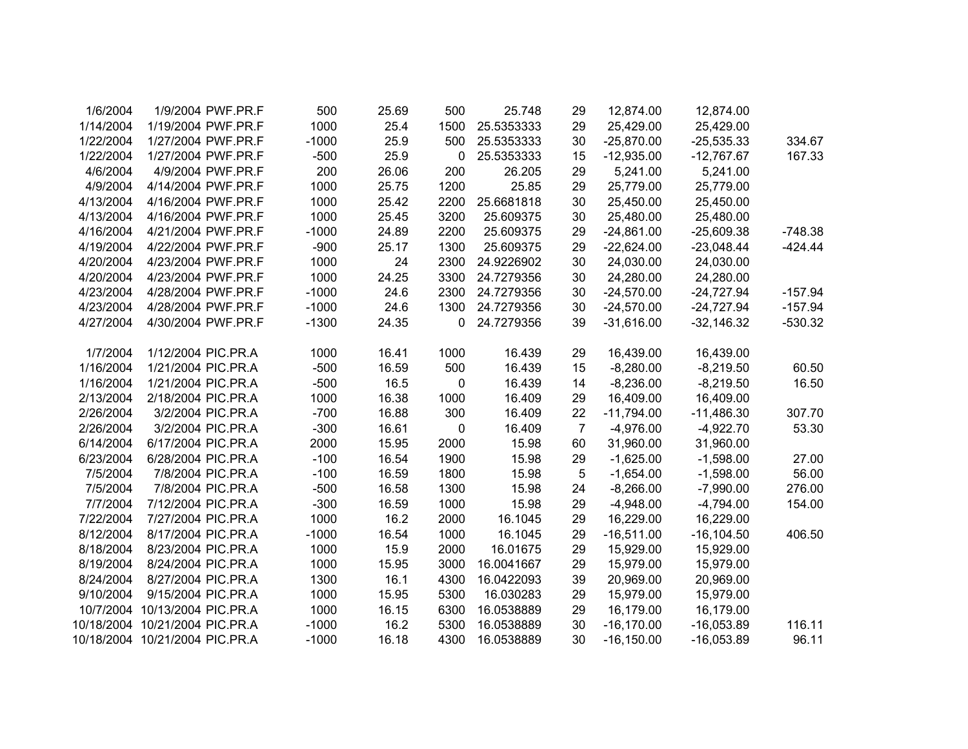| 1/6/2004  | 1/9/2004 PWF.PR.F              | 500     | 25.69 | 500              | 25.748     | 29             | 12,874.00     | 12,874.00     |           |
|-----------|--------------------------------|---------|-------|------------------|------------|----------------|---------------|---------------|-----------|
| 1/14/2004 | 1/19/2004 PWF.PR.F             | 1000    | 25.4  | 1500             | 25.5353333 | 29             | 25,429.00     | 25,429.00     |           |
| 1/22/2004 | 1/27/2004 PWF.PR.F             | $-1000$ | 25.9  | 500              | 25.5353333 | 30             | $-25,870.00$  | $-25,535.33$  | 334.67    |
| 1/22/2004 | 1/27/2004 PWF.PR.F             | $-500$  | 25.9  | 0                | 25.5353333 | 15             | $-12,935.00$  | $-12,767.67$  | 167.33    |
| 4/6/2004  | 4/9/2004 PWF.PR.F              | 200     | 26.06 | 200              | 26.205     | 29             | 5,241.00      | 5,241.00      |           |
| 4/9/2004  | 4/14/2004 PWF.PR.F             | 1000    | 25.75 | 1200             | 25.85      | 29             | 25,779.00     | 25,779.00     |           |
| 4/13/2004 | 4/16/2004 PWF.PR.F             | 1000    | 25.42 | 2200             | 25.6681818 | 30             | 25,450.00     | 25,450.00     |           |
| 4/13/2004 | 4/16/2004 PWF.PR.F             | 1000    | 25.45 | 3200             | 25.609375  | 30             | 25,480.00     | 25,480.00     |           |
| 4/16/2004 | 4/21/2004 PWF.PR.F             | $-1000$ | 24.89 | 2200             | 25.609375  | 29             | $-24,861.00$  | $-25,609.38$  | $-748.38$ |
| 4/19/2004 | 4/22/2004 PWF.PR.F             | $-900$  | 25.17 | 1300             | 25.609375  | 29             | $-22,624.00$  | $-23,048.44$  | $-424.44$ |
| 4/20/2004 | 4/23/2004 PWF.PR.F             | 1000    | 24    | 2300             | 24.9226902 | 30             | 24,030.00     | 24,030.00     |           |
| 4/20/2004 | 4/23/2004 PWF.PR.F             | 1000    | 24.25 | 3300             | 24.7279356 | 30             | 24,280.00     | 24,280.00     |           |
| 4/23/2004 | 4/28/2004 PWF.PR.F             | $-1000$ | 24.6  | 2300             | 24.7279356 | 30             | $-24,570.00$  | $-24,727.94$  | $-157.94$ |
| 4/23/2004 | 4/28/2004 PWF.PR.F             | $-1000$ | 24.6  | 1300             | 24.7279356 | 30             | $-24,570.00$  | $-24,727.94$  | $-157.94$ |
| 4/27/2004 | 4/30/2004 PWF.PR.F             | $-1300$ | 24.35 | 0                | 24.7279356 | 39             | $-31,616.00$  | $-32,146.32$  | $-530.32$ |
| 1/7/2004  | 1/12/2004 PIC.PR.A             | 1000    | 16.41 | 1000             | 16.439     | 29             | 16,439.00     | 16,439.00     |           |
| 1/16/2004 | 1/21/2004 PIC.PR.A             | $-500$  | 16.59 | 500              | 16.439     | 15             | $-8,280.00$   | $-8,219.50$   | 60.50     |
| 1/16/2004 | 1/21/2004 PIC.PR.A             | $-500$  | 16.5  | $\boldsymbol{0}$ | 16.439     | 14             | $-8,236.00$   | $-8,219.50$   | 16.50     |
| 2/13/2004 | 2/18/2004 PIC.PR.A             | 1000    | 16.38 | 1000             | 16.409     | 29             | 16,409.00     | 16,409.00     |           |
| 2/26/2004 | 3/2/2004 PIC.PR.A              | $-700$  | 16.88 | 300              | 16.409     | 22             | $-11,794.00$  | $-11,486.30$  | 307.70    |
| 2/26/2004 | 3/2/2004 PIC.PR.A              | $-300$  | 16.61 | $\pmb{0}$        | 16.409     | $\overline{7}$ | $-4,976.00$   | $-4,922.70$   | 53.30     |
| 6/14/2004 | 6/17/2004 PIC.PR.A             | 2000    | 15.95 | 2000             | 15.98      | 60             | 31,960.00     | 31,960.00     |           |
| 6/23/2004 | 6/28/2004 PIC.PR.A             | $-100$  | 16.54 | 1900             | 15.98      | 29             | $-1,625.00$   | $-1,598.00$   | 27.00     |
| 7/5/2004  | 7/8/2004 PIC.PR.A              | $-100$  | 16.59 | 1800             | 15.98      | 5              | $-1,654.00$   | $-1,598.00$   | 56.00     |
| 7/5/2004  | 7/8/2004 PIC.PR.A              | $-500$  | 16.58 | 1300             | 15.98      | 24             | $-8,266.00$   | $-7,990.00$   | 276.00    |
| 7/7/2004  | 7/12/2004 PIC.PR.A             | $-300$  | 16.59 | 1000             | 15.98      | 29             | $-4,948.00$   | $-4,794.00$   | 154.00    |
| 7/22/2004 | 7/27/2004 PIC.PR.A             | 1000    | 16.2  | 2000             | 16.1045    | 29             | 16,229.00     | 16,229.00     |           |
| 8/12/2004 | 8/17/2004 PIC.PR.A             | $-1000$ | 16.54 | 1000             | 16.1045    | 29             | $-16,511.00$  | $-16, 104.50$ | 406.50    |
| 8/18/2004 | 8/23/2004 PIC.PR.A             | 1000    | 15.9  | 2000             | 16.01675   | 29             | 15,929.00     | 15,929.00     |           |
| 8/19/2004 | 8/24/2004 PIC.PR.A             | 1000    | 15.95 | 3000             | 16.0041667 | 29             | 15,979.00     | 15,979.00     |           |
| 8/24/2004 | 8/27/2004 PIC.PR.A             | 1300    | 16.1  | 4300             | 16.0422093 | 39             | 20,969.00     | 20,969.00     |           |
| 9/10/2004 | 9/15/2004 PIC.PR.A             | 1000    | 15.95 | 5300             | 16.030283  | 29             | 15,979.00     | 15,979.00     |           |
|           | 10/7/2004 10/13/2004 PIC.PR.A  | 1000    | 16.15 | 6300             | 16.0538889 | 29             | 16,179.00     | 16,179.00     |           |
|           | 10/18/2004 10/21/2004 PIC.PR.A | $-1000$ | 16.2  | 5300             | 16.0538889 | 30             | $-16,170.00$  | $-16,053.89$  | 116.11    |
|           | 10/18/2004 10/21/2004 PIC.PR.A | $-1000$ | 16.18 | 4300             | 16.0538889 | 30             | $-16, 150.00$ | $-16,053.89$  | 96.11     |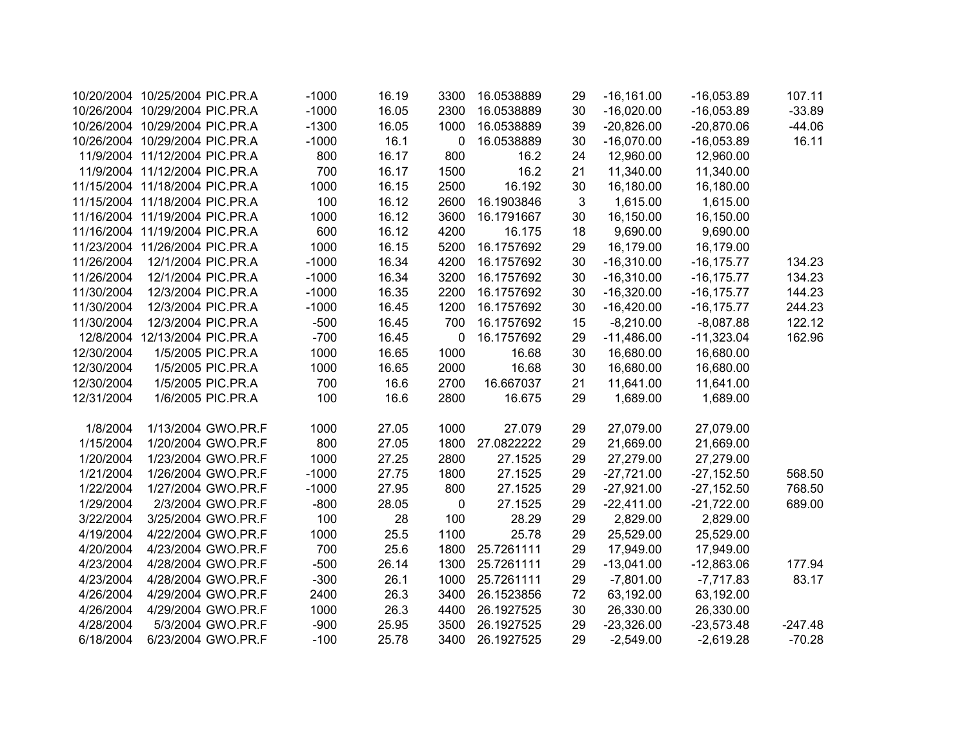|            | 10/20/2004 10/25/2004 PIC.PR.A | $-1000$ | 16.19 | 3300        | 16.0538889 | 29 | $-16,161.00$ | $-16,053.89$  | 107.11    |
|------------|--------------------------------|---------|-------|-------------|------------|----|--------------|---------------|-----------|
|            | 10/26/2004 10/29/2004 PIC.PR.A | $-1000$ | 16.05 | 2300        | 16.0538889 | 30 | $-16,020.00$ | $-16,053.89$  | $-33.89$  |
|            | 10/26/2004 10/29/2004 PIC.PR.A | $-1300$ | 16.05 | 1000        | 16.0538889 | 39 | $-20,826.00$ | $-20,870.06$  | $-44.06$  |
|            | 10/26/2004 10/29/2004 PIC.PR.A | $-1000$ | 16.1  | $\mathbf 0$ | 16.0538889 | 30 | $-16,070.00$ | $-16,053.89$  | 16.11     |
|            | 11/9/2004 11/12/2004 PIC.PR.A  | 800     | 16.17 | 800         | 16.2       | 24 | 12,960.00    | 12,960.00     |           |
|            | 11/9/2004 11/12/2004 PIC.PR.A  | 700     | 16.17 | 1500        | 16.2       | 21 | 11,340.00    | 11,340.00     |           |
|            | 11/15/2004 11/18/2004 PIC.PR.A | 1000    | 16.15 | 2500        | 16.192     | 30 | 16,180.00    | 16,180.00     |           |
|            | 11/15/2004 11/18/2004 PIC.PR.A | 100     | 16.12 | 2600        | 16.1903846 | 3  | 1,615.00     | 1,615.00      |           |
|            | 11/16/2004 11/19/2004 PIC.PR.A | 1000    | 16.12 | 3600        | 16.1791667 | 30 | 16,150.00    | 16,150.00     |           |
|            | 11/16/2004 11/19/2004 PIC.PR.A | 600     | 16.12 | 4200        | 16.175     | 18 | 9,690.00     | 9,690.00      |           |
|            | 11/23/2004 11/26/2004 PIC.PR.A | 1000    | 16.15 | 5200        | 16.1757692 | 29 | 16,179.00    | 16,179.00     |           |
| 11/26/2004 | 12/1/2004 PIC.PR.A             | $-1000$ | 16.34 | 4200        | 16.1757692 | 30 | $-16,310.00$ | $-16, 175.77$ | 134.23    |
| 11/26/2004 | 12/1/2004 PIC.PR.A             | $-1000$ | 16.34 | 3200        | 16.1757692 | 30 | $-16,310.00$ | $-16, 175.77$ | 134.23    |
| 11/30/2004 | 12/3/2004 PIC.PR.A             | $-1000$ | 16.35 | 2200        | 16.1757692 | 30 | $-16,320.00$ | $-16, 175.77$ | 144.23    |
| 11/30/2004 | 12/3/2004 PIC.PR.A             | $-1000$ | 16.45 | 1200        | 16.1757692 | 30 | $-16,420.00$ | $-16, 175.77$ | 244.23    |
| 11/30/2004 | 12/3/2004 PIC.PR.A             | $-500$  | 16.45 | 700         | 16.1757692 | 15 | $-8,210.00$  | $-8,087.88$   | 122.12    |
|            | 12/8/2004 12/13/2004 PIC.PR.A  | $-700$  | 16.45 | $\mathbf 0$ | 16.1757692 | 29 | $-11,486.00$ | $-11,323.04$  | 162.96    |
| 12/30/2004 | 1/5/2005 PIC.PR.A              | 1000    | 16.65 | 1000        | 16.68      | 30 | 16,680.00    | 16,680.00     |           |
| 12/30/2004 | 1/5/2005 PIC.PR.A              | 1000    | 16.65 | 2000        | 16.68      | 30 | 16,680.00    | 16,680.00     |           |
| 12/30/2004 | 1/5/2005 PIC.PR.A              | 700     | 16.6  | 2700        | 16.667037  | 21 | 11,641.00    | 11,641.00     |           |
| 12/31/2004 | 1/6/2005 PIC.PR.A              | 100     | 16.6  | 2800        | 16.675     | 29 | 1,689.00     | 1,689.00      |           |
|            |                                |         |       |             |            |    |              |               |           |
| 1/8/2004   | 1/13/2004 GWO.PR.F             | 1000    | 27.05 | 1000        | 27.079     | 29 | 27,079.00    | 27,079.00     |           |
| 1/15/2004  | 1/20/2004 GWO.PR.F             | 800     | 27.05 | 1800        | 27.0822222 | 29 | 21,669.00    | 21,669.00     |           |
| 1/20/2004  | 1/23/2004 GWO.PR.F             | 1000    | 27.25 | 2800        | 27.1525    | 29 | 27,279.00    | 27,279.00     |           |
| 1/21/2004  | 1/26/2004 GWO.PR.F             | $-1000$ | 27.75 | 1800        | 27.1525    | 29 | $-27,721.00$ | $-27,152.50$  | 568.50    |
| 1/22/2004  | 1/27/2004 GWO.PR.F             | $-1000$ | 27.95 | 800         | 27.1525    | 29 | $-27,921.00$ | $-27,152.50$  | 768.50    |
| 1/29/2004  | 2/3/2004 GWO.PR.F              | $-800$  | 28.05 | 0           | 27.1525    | 29 | $-22,411.00$ | $-21,722.00$  | 689.00    |
| 3/22/2004  | 3/25/2004 GWO.PR.F             | 100     | 28    | 100         | 28.29      | 29 | 2,829.00     | 2,829.00      |           |
| 4/19/2004  | 4/22/2004 GWO.PR.F             | 1000    | 25.5  | 1100        | 25.78      | 29 | 25,529.00    | 25,529.00     |           |
| 4/20/2004  | 4/23/2004 GWO.PR.F             | 700     | 25.6  | 1800        | 25.7261111 | 29 | 17,949.00    | 17,949.00     |           |
| 4/23/2004  | 4/28/2004 GWO.PR.F             | $-500$  | 26.14 | 1300        | 25.7261111 | 29 | $-13,041.00$ | $-12,863.06$  | 177.94    |
| 4/23/2004  | 4/28/2004 GWO.PR.F             | $-300$  | 26.1  | 1000        | 25.7261111 | 29 | $-7,801.00$  | $-7,717.83$   | 83.17     |
| 4/26/2004  | 4/29/2004 GWO.PR.F             | 2400    | 26.3  | 3400        | 26.1523856 | 72 | 63,192.00    | 63,192.00     |           |
| 4/26/2004  | 4/29/2004 GWO.PR.F             | 1000    | 26.3  | 4400        | 26.1927525 | 30 | 26,330.00    | 26,330.00     |           |
| 4/28/2004  | 5/3/2004 GWO.PR.F              | $-900$  | 25.95 | 3500        | 26.1927525 | 29 | $-23,326.00$ | $-23,573.48$  | $-247.48$ |
| 6/18/2004  | 6/23/2004 GWO.PR.F             | $-100$  | 25.78 | 3400        | 26.1927525 | 29 | $-2,549.00$  | $-2,619.28$   | $-70.28$  |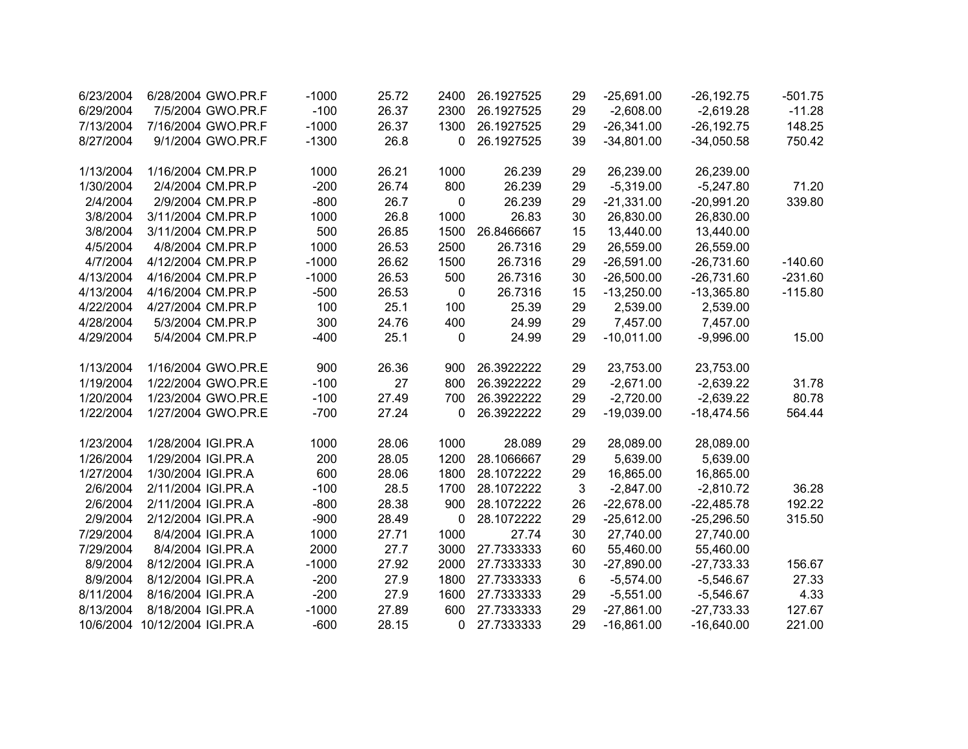| 6/23/2004 | 6/28/2004 GWO.PR.F            | $-1000$ | 25.72 | 2400      | 26.1927525 | 29 | $-25,691.00$ | $-26, 192.75$ | $-501.75$ |
|-----------|-------------------------------|---------|-------|-----------|------------|----|--------------|---------------|-----------|
| 6/29/2004 | 7/5/2004 GWO.PR.F             | $-100$  | 26.37 | 2300      | 26.1927525 | 29 | $-2,608.00$  | $-2,619.28$   | $-11.28$  |
| 7/13/2004 | 7/16/2004 GWO.PR.F            | $-1000$ | 26.37 | 1300      | 26.1927525 | 29 | $-26,341.00$ | $-26, 192.75$ | 148.25    |
| 8/27/2004 | 9/1/2004 GWO.PR.F             | $-1300$ | 26.8  | 0         | 26.1927525 | 39 | $-34,801.00$ | $-34,050.58$  | 750.42    |
|           |                               |         |       |           |            |    |              |               |           |
| 1/13/2004 | 1/16/2004 CM.PR.P             | 1000    | 26.21 | 1000      | 26.239     | 29 | 26,239.00    | 26,239.00     |           |
| 1/30/2004 | 2/4/2004 CM.PR.P              | $-200$  | 26.74 | 800       | 26.239     | 29 | $-5,319.00$  | $-5,247.80$   | 71.20     |
| 2/4/2004  | 2/9/2004 CM.PR.P              | $-800$  | 26.7  | 0         | 26.239     | 29 | $-21,331.00$ | $-20,991.20$  | 339.80    |
| 3/8/2004  | 3/11/2004 CM.PR.P             | 1000    | 26.8  | 1000      | 26.83      | 30 | 26,830.00    | 26,830.00     |           |
| 3/8/2004  | 3/11/2004 CM.PR.P             | 500     | 26.85 | 1500      | 26.8466667 | 15 | 13,440.00    | 13,440.00     |           |
| 4/5/2004  | 4/8/2004 CM.PR.P              | 1000    | 26.53 | 2500      | 26.7316    | 29 | 26,559.00    | 26,559.00     |           |
| 4/7/2004  | 4/12/2004 CM.PR.P             | $-1000$ | 26.62 | 1500      | 26.7316    | 29 | $-26,591.00$ | $-26,731.60$  | $-140.60$ |
| 4/13/2004 | 4/16/2004 CM.PR.P             | $-1000$ | 26.53 | 500       | 26.7316    | 30 | $-26,500.00$ | $-26,731.60$  | $-231.60$ |
| 4/13/2004 | 4/16/2004 CM.PR.P             | $-500$  | 26.53 | $\pmb{0}$ | 26.7316    | 15 | $-13,250.00$ | $-13,365.80$  | $-115.80$ |
| 4/22/2004 | 4/27/2004 CM.PR.P             | 100     | 25.1  | 100       | 25.39      | 29 | 2,539.00     | 2,539.00      |           |
| 4/28/2004 | 5/3/2004 CM.PR.P              | 300     | 24.76 | 400       | 24.99      | 29 | 7,457.00     | 7,457.00      |           |
| 4/29/2004 | 5/4/2004 CM.PR.P              | $-400$  | 25.1  | 0         | 24.99      | 29 | $-10,011.00$ | $-9,996.00$   | 15.00     |
|           |                               |         |       |           |            |    |              |               |           |
| 1/13/2004 | 1/16/2004 GWO.PR.E            | 900     | 26.36 | 900       | 26.3922222 | 29 | 23,753.00    | 23,753.00     |           |
| 1/19/2004 | 1/22/2004 GWO.PR.E            | $-100$  | 27    | 800       | 26.3922222 | 29 | $-2,671.00$  | $-2,639.22$   | 31.78     |
| 1/20/2004 | 1/23/2004 GWO.PR.E            | $-100$  | 27.49 | 700       | 26.3922222 | 29 | $-2,720.00$  | $-2,639.22$   | 80.78     |
| 1/22/2004 | 1/27/2004 GWO.PR.E            | $-700$  | 27.24 | 0         | 26.3922222 | 29 | $-19,039.00$ | $-18,474.56$  | 564.44    |
| 1/23/2004 | 1/28/2004 IGI.PR.A            | 1000    | 28.06 | 1000      | 28.089     | 29 | 28,089.00    | 28,089.00     |           |
| 1/26/2004 | 1/29/2004 IGI.PR.A            | 200     | 28.05 | 1200      | 28.1066667 | 29 | 5,639.00     | 5,639.00      |           |
| 1/27/2004 | 1/30/2004 IGI.PR.A            | 600     | 28.06 | 1800      | 28.1072222 | 29 | 16,865.00    | 16,865.00     |           |
| 2/6/2004  | 2/11/2004 IGI.PR.A            | $-100$  | 28.5  | 1700      | 28.1072222 | 3  | $-2,847.00$  | $-2,810.72$   | 36.28     |
| 2/6/2004  | 2/11/2004 IGI.PR.A            | $-800$  | 28.38 | 900       | 28.1072222 | 26 | $-22,678.00$ | $-22,485.78$  | 192.22    |
| 2/9/2004  | 2/12/2004 IGI.PR.A            | $-900$  | 28.49 | 0         | 28.1072222 | 29 | $-25,612.00$ | $-25,296.50$  | 315.50    |
| 7/29/2004 | 8/4/2004 IGI.PR.A             | 1000    | 27.71 | 1000      | 27.74      | 30 | 27,740.00    | 27,740.00     |           |
| 7/29/2004 | 8/4/2004 IGI.PR.A             | 2000    | 27.7  | 3000      | 27.7333333 | 60 | 55,460.00    | 55,460.00     |           |
| 8/9/2004  | 8/12/2004 IGI.PR.A            | $-1000$ | 27.92 | 2000      | 27.7333333 | 30 | $-27,890.00$ | $-27,733.33$  | 156.67    |
| 8/9/2004  | 8/12/2004 IGI.PR.A            | $-200$  | 27.9  | 1800      | 27.7333333 | 6  | $-5,574.00$  | $-5,546.67$   | 27.33     |
| 8/11/2004 | 8/16/2004 IGI.PR.A            | $-200$  | 27.9  | 1600      | 27.7333333 | 29 | $-5,551.00$  | $-5,546.67$   | 4.33      |
| 8/13/2004 | 8/18/2004 IGI.PR.A            | $-1000$ | 27.89 | 600       | 27.7333333 | 29 | $-27,861.00$ | $-27,733.33$  | 127.67    |
|           | 10/6/2004 10/12/2004 IGI.PR.A | $-600$  | 28.15 | 0         | 27.7333333 | 29 | $-16,861.00$ | $-16,640.00$  | 221.00    |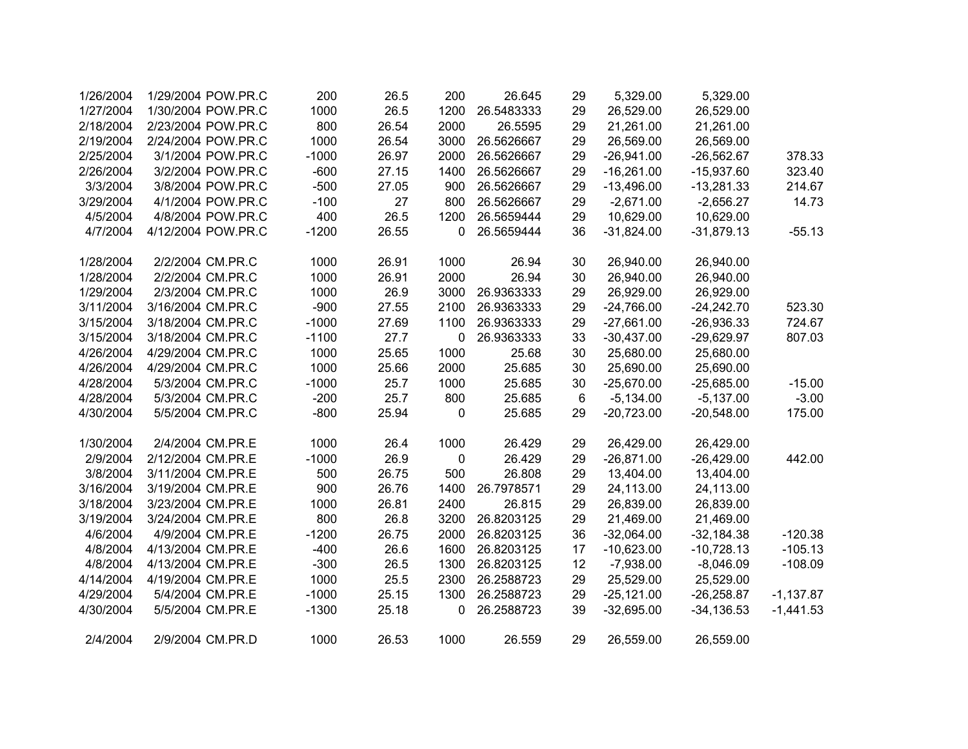| 1/26/2004 | 1/29/2004 POW.PR.C | 200     | 26.5  | 200       | 26.645     | 29 | 5,329.00     | 5,329.00      |             |
|-----------|--------------------|---------|-------|-----------|------------|----|--------------|---------------|-------------|
| 1/27/2004 | 1/30/2004 POW.PR.C | 1000    | 26.5  | 1200      | 26.5483333 | 29 | 26,529.00    | 26,529.00     |             |
| 2/18/2004 | 2/23/2004 POW.PR.C | 800     | 26.54 | 2000      | 26.5595    | 29 | 21,261.00    | 21,261.00     |             |
| 2/19/2004 | 2/24/2004 POW.PR.C | 1000    | 26.54 | 3000      | 26.5626667 | 29 | 26,569.00    | 26,569.00     |             |
| 2/25/2004 | 3/1/2004 POW.PR.C  | $-1000$ | 26.97 | 2000      | 26.5626667 | 29 | $-26,941.00$ | $-26,562.67$  | 378.33      |
| 2/26/2004 | 3/2/2004 POW.PR.C  | $-600$  | 27.15 | 1400      | 26.5626667 | 29 | $-16,261.00$ | $-15,937.60$  | 323.40      |
| 3/3/2004  | 3/8/2004 POW.PR.C  | $-500$  | 27.05 | 900       | 26.5626667 | 29 | $-13,496.00$ | $-13,281.33$  | 214.67      |
| 3/29/2004 | 4/1/2004 POW.PR.C  | $-100$  | 27    | 800       | 26.5626667 | 29 | $-2,671.00$  | $-2,656.27$   | 14.73       |
| 4/5/2004  | 4/8/2004 POW.PR.C  | 400     | 26.5  | 1200      | 26.5659444 | 29 | 10,629.00    | 10,629.00     |             |
| 4/7/2004  | 4/12/2004 POW.PR.C | $-1200$ | 26.55 | 0         | 26.5659444 | 36 | $-31,824.00$ | $-31,879.13$  | $-55.13$    |
| 1/28/2004 | 2/2/2004 CM.PR.C   | 1000    | 26.91 | 1000      | 26.94      | 30 | 26,940.00    | 26,940.00     |             |
| 1/28/2004 | 2/2/2004 CM.PR.C   | 1000    | 26.91 | 2000      | 26.94      | 30 | 26,940.00    | 26,940.00     |             |
| 1/29/2004 | 2/3/2004 CM.PR.C   | 1000    | 26.9  | 3000      | 26.9363333 | 29 | 26,929.00    | 26,929.00     |             |
| 3/11/2004 | 3/16/2004 CM.PR.C  | $-900$  | 27.55 | 2100      | 26.9363333 | 29 | $-24,766.00$ | $-24,242.70$  | 523.30      |
| 3/15/2004 | 3/18/2004 CM.PR.C  | $-1000$ | 27.69 | 1100      | 26.9363333 | 29 | $-27,661.00$ | $-26,936.33$  | 724.67      |
| 3/15/2004 | 3/18/2004 CM.PR.C  | $-1100$ | 27.7  | 0         | 26.9363333 | 33 | $-30,437.00$ | $-29,629.97$  | 807.03      |
| 4/26/2004 | 4/29/2004 CM.PR.C  | 1000    | 25.65 | 1000      | 25.68      | 30 | 25,680.00    | 25,680.00     |             |
| 4/26/2004 | 4/29/2004 CM.PR.C  | 1000    | 25.66 | 2000      | 25.685     | 30 | 25,690.00    | 25,690.00     |             |
| 4/28/2004 | 5/3/2004 CM.PR.C   | $-1000$ | 25.7  | 1000      | 25.685     | 30 | $-25,670.00$ | $-25,685.00$  | $-15.00$    |
| 4/28/2004 | 5/3/2004 CM.PR.C   | $-200$  | 25.7  | 800       | 25.685     | 6  | $-5,134.00$  | $-5,137.00$   | $-3.00$     |
| 4/30/2004 | 5/5/2004 CM.PR.C   | $-800$  | 25.94 | 0         | 25.685     | 29 | $-20,723.00$ | $-20,548.00$  | 175.00      |
| 1/30/2004 | 2/4/2004 CM.PR.E   | 1000    | 26.4  | 1000      | 26.429     | 29 | 26,429.00    | 26,429.00     |             |
| 2/9/2004  | 2/12/2004 CM.PR.E  | $-1000$ | 26.9  | $\pmb{0}$ | 26.429     | 29 | $-26,871.00$ | $-26,429.00$  | 442.00      |
| 3/8/2004  | 3/11/2004 CM.PR.E  | 500     | 26.75 | 500       | 26.808     | 29 | 13,404.00    | 13,404.00     |             |
| 3/16/2004 | 3/19/2004 CM.PR.E  | 900     | 26.76 | 1400      | 26.7978571 | 29 | 24,113.00    | 24,113.00     |             |
| 3/18/2004 | 3/23/2004 CM.PR.E  | 1000    | 26.81 | 2400      | 26.815     | 29 | 26,839.00    | 26,839.00     |             |
| 3/19/2004 | 3/24/2004 CM.PR.E  | 800     | 26.8  | 3200      | 26.8203125 | 29 | 21,469.00    | 21,469.00     |             |
| 4/6/2004  | 4/9/2004 CM.PR.E   | $-1200$ | 26.75 | 2000      | 26.8203125 | 36 | $-32,064.00$ | $-32,184.38$  | $-120.38$   |
| 4/8/2004  | 4/13/2004 CM.PR.E  | $-400$  | 26.6  | 1600      | 26.8203125 | 17 | $-10,623.00$ | $-10,728.13$  | $-105.13$   |
| 4/8/2004  | 4/13/2004 CM.PR.E  | $-300$  | 26.5  | 1300      | 26.8203125 | 12 | $-7,938.00$  | $-8,046.09$   | $-108.09$   |
| 4/14/2004 | 4/19/2004 CM.PR.E  | 1000    | 25.5  | 2300      | 26.2588723 | 29 | 25,529.00    | 25,529.00     |             |
| 4/29/2004 | 5/4/2004 CM.PR.E   | $-1000$ | 25.15 | 1300      | 26.2588723 | 29 | $-25,121.00$ | $-26,258.87$  | $-1,137.87$ |
| 4/30/2004 | 5/5/2004 CM.PR.E   | $-1300$ | 25.18 | 0         | 26.2588723 | 39 | $-32,695.00$ | $-34, 136.53$ | $-1,441.53$ |
| 2/4/2004  | 2/9/2004 CM.PR.D   | 1000    | 26.53 | 1000      | 26.559     | 29 | 26,559.00    | 26,559.00     |             |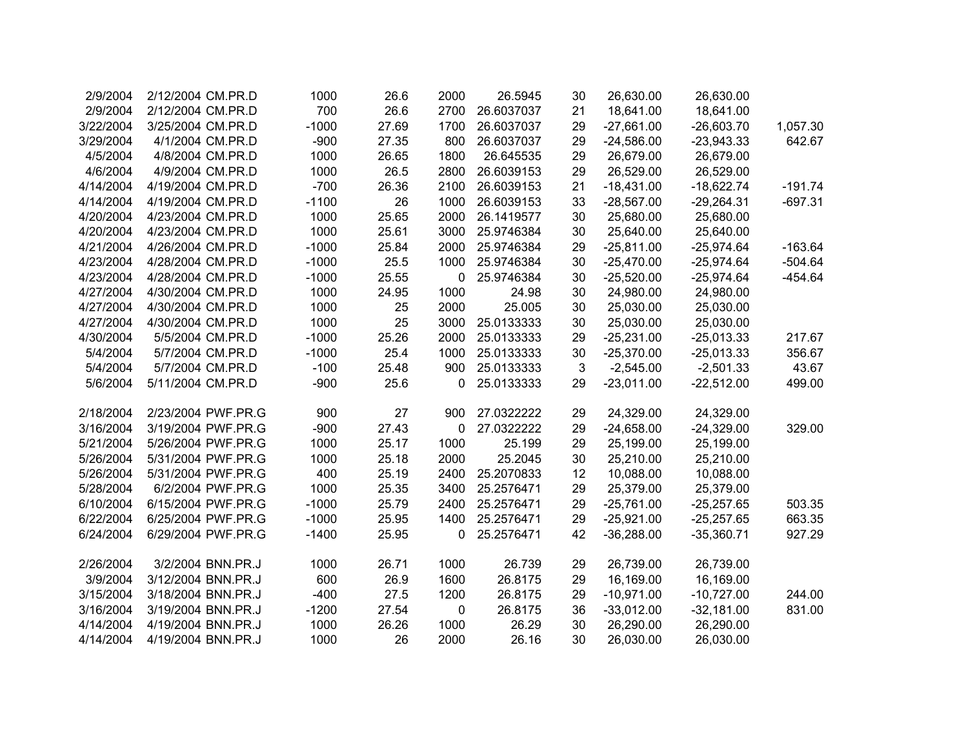| 2/9/2004  | 2/12/2004 CM.PR.D  | 1000    | 26.6  | 2000 | 26.5945    | 30 | 26,630.00    | 26,630.00    |           |
|-----------|--------------------|---------|-------|------|------------|----|--------------|--------------|-----------|
| 2/9/2004  | 2/12/2004 CM.PR.D  | 700     | 26.6  | 2700 | 26.6037037 | 21 | 18,641.00    | 18,641.00    |           |
| 3/22/2004 | 3/25/2004 CM.PR.D  | $-1000$ | 27.69 | 1700 | 26.6037037 | 29 | $-27,661.00$ | $-26,603.70$ | 1,057.30  |
| 3/29/2004 | 4/1/2004 CM.PR.D   | $-900$  | 27.35 | 800  | 26.6037037 | 29 | $-24,586.00$ | $-23,943.33$ | 642.67    |
| 4/5/2004  | 4/8/2004 CM.PR.D   | 1000    | 26.65 | 1800 | 26.645535  | 29 | 26,679.00    | 26,679.00    |           |
| 4/6/2004  | 4/9/2004 CM.PR.D   | 1000    | 26.5  | 2800 | 26.6039153 | 29 | 26,529.00    | 26,529.00    |           |
| 4/14/2004 | 4/19/2004 CM.PR.D  | $-700$  | 26.36 | 2100 | 26.6039153 | 21 | $-18,431.00$ | $-18,622.74$ | $-191.74$ |
| 4/14/2004 | 4/19/2004 CM.PR.D  | $-1100$ | 26    | 1000 | 26.6039153 | 33 | $-28,567.00$ | $-29,264.31$ | $-697.31$ |
| 4/20/2004 | 4/23/2004 CM.PR.D  | 1000    | 25.65 | 2000 | 26.1419577 | 30 | 25,680.00    | 25,680.00    |           |
| 4/20/2004 | 4/23/2004 CM.PR.D  | 1000    | 25.61 | 3000 | 25.9746384 | 30 | 25,640.00    | 25,640.00    |           |
| 4/21/2004 | 4/26/2004 CM.PR.D  | $-1000$ | 25.84 | 2000 | 25.9746384 | 29 | $-25,811.00$ | $-25,974.64$ | $-163.64$ |
| 4/23/2004 | 4/28/2004 CM.PR.D  | $-1000$ | 25.5  | 1000 | 25.9746384 | 30 | $-25,470.00$ | $-25,974.64$ | $-504.64$ |
| 4/23/2004 | 4/28/2004 CM.PR.D  | $-1000$ | 25.55 | 0    | 25.9746384 | 30 | $-25,520.00$ | $-25,974.64$ | $-454.64$ |
| 4/27/2004 | 4/30/2004 CM.PR.D  | 1000    | 24.95 | 1000 | 24.98      | 30 | 24,980.00    | 24,980.00    |           |
| 4/27/2004 | 4/30/2004 CM.PR.D  | 1000    | 25    | 2000 | 25.005     | 30 | 25,030.00    | 25,030.00    |           |
| 4/27/2004 | 4/30/2004 CM.PR.D  | 1000    | 25    | 3000 | 25.0133333 | 30 | 25,030.00    | 25,030.00    |           |
| 4/30/2004 | 5/5/2004 CM.PR.D   | $-1000$ | 25.26 | 2000 | 25.0133333 | 29 | $-25,231.00$ | $-25,013.33$ | 217.67    |
| 5/4/2004  | 5/7/2004 CM.PR.D   | $-1000$ | 25.4  | 1000 | 25.0133333 | 30 | $-25,370.00$ | $-25,013.33$ | 356.67    |
| 5/4/2004  | 5/7/2004 CM.PR.D   | $-100$  | 25.48 | 900  | 25.0133333 | 3  | $-2,545.00$  | $-2,501.33$  | 43.67     |
| 5/6/2004  | 5/11/2004 CM.PR.D  | $-900$  | 25.6  | 0    | 25.0133333 | 29 | $-23,011.00$ | $-22,512.00$ | 499.00    |
|           |                    |         |       |      |            |    |              |              |           |
| 2/18/2004 | 2/23/2004 PWF.PR.G | 900     | 27    | 900  | 27.0322222 | 29 | 24,329.00    | 24,329.00    |           |
| 3/16/2004 | 3/19/2004 PWF.PR.G | $-900$  | 27.43 | 0    | 27.0322222 | 29 | $-24,658.00$ | $-24,329.00$ | 329.00    |
| 5/21/2004 | 5/26/2004 PWF.PR.G | 1000    | 25.17 | 1000 | 25.199     | 29 | 25,199.00    | 25,199.00    |           |
| 5/26/2004 | 5/31/2004 PWF.PR.G | 1000    | 25.18 | 2000 | 25.2045    | 30 | 25,210.00    | 25,210.00    |           |
| 5/26/2004 | 5/31/2004 PWF.PR.G | 400     | 25.19 | 2400 | 25.2070833 | 12 | 10,088.00    | 10,088.00    |           |
| 5/28/2004 | 6/2/2004 PWF.PR.G  | 1000    | 25.35 | 3400 | 25.2576471 | 29 | 25,379.00    | 25,379.00    |           |
| 6/10/2004 | 6/15/2004 PWF.PR.G | $-1000$ | 25.79 | 2400 | 25.2576471 | 29 | $-25,761.00$ | $-25,257.65$ | 503.35    |
| 6/22/2004 | 6/25/2004 PWF.PR.G | $-1000$ | 25.95 | 1400 | 25.2576471 | 29 | $-25,921.00$ | $-25,257.65$ | 663.35    |
| 6/24/2004 | 6/29/2004 PWF.PR.G | $-1400$ | 25.95 | 0    | 25.2576471 | 42 | $-36,288.00$ | $-35,360.71$ | 927.29    |
|           |                    |         |       |      |            |    |              |              |           |
| 2/26/2004 | 3/2/2004 BNN.PR.J  | 1000    | 26.71 | 1000 | 26.739     | 29 | 26,739.00    | 26,739.00    |           |
| 3/9/2004  | 3/12/2004 BNN.PR.J | 600     | 26.9  | 1600 | 26.8175    | 29 | 16,169.00    | 16,169.00    |           |
| 3/15/2004 | 3/18/2004 BNN.PR.J | $-400$  | 27.5  | 1200 | 26.8175    | 29 | $-10,971.00$ | $-10,727.00$ | 244.00    |
| 3/16/2004 | 3/19/2004 BNN.PR.J | $-1200$ | 27.54 | 0    | 26.8175    | 36 | $-33,012.00$ | $-32,181.00$ | 831.00    |
| 4/14/2004 | 4/19/2004 BNN.PR.J | 1000    | 26.26 | 1000 | 26.29      | 30 | 26,290.00    | 26,290.00    |           |
| 4/14/2004 | 4/19/2004 BNN.PR.J | 1000    | 26    | 2000 | 26.16      | 30 | 26,030.00    | 26,030.00    |           |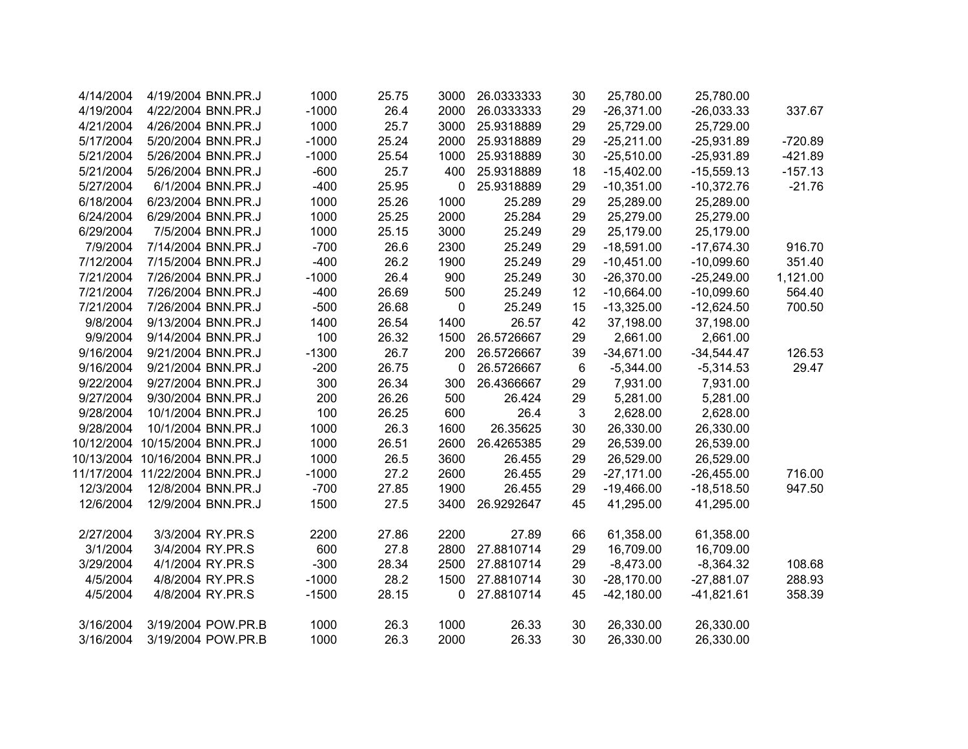| 4/14/2004  | 4/19/2004 BNN.PR.J             | 1000    | 25.75 | 3000 | 26.0333333 | 30 | 25,780.00    | 25,780.00    |           |
|------------|--------------------------------|---------|-------|------|------------|----|--------------|--------------|-----------|
| 4/19/2004  | 4/22/2004 BNN.PR.J             | $-1000$ | 26.4  | 2000 | 26.0333333 | 29 | $-26,371.00$ | $-26,033.33$ | 337.67    |
| 4/21/2004  | 4/26/2004 BNN.PR.J             | 1000    | 25.7  | 3000 | 25.9318889 | 29 | 25,729.00    | 25,729.00    |           |
| 5/17/2004  | 5/20/2004 BNN.PR.J             | $-1000$ | 25.24 | 2000 | 25.9318889 | 29 | $-25,211.00$ | $-25,931.89$ | $-720.89$ |
| 5/21/2004  | 5/26/2004 BNN.PR.J             | $-1000$ | 25.54 | 1000 | 25.9318889 | 30 | $-25,510.00$ | $-25,931.89$ | $-421.89$ |
| 5/21/2004  | 5/26/2004 BNN.PR.J             | $-600$  | 25.7  | 400  | 25.9318889 | 18 | $-15,402.00$ | $-15,559.13$ | $-157.13$ |
| 5/27/2004  | 6/1/2004 BNN.PR.J              | $-400$  | 25.95 | 0    | 25.9318889 | 29 | $-10,351.00$ | $-10,372.76$ | $-21.76$  |
| 6/18/2004  | 6/23/2004 BNN.PR.J             | 1000    | 25.26 | 1000 | 25.289     | 29 | 25,289.00    | 25,289.00    |           |
| 6/24/2004  | 6/29/2004 BNN.PR.J             | 1000    | 25.25 | 2000 | 25.284     | 29 | 25,279.00    | 25,279.00    |           |
| 6/29/2004  | 7/5/2004 BNN.PR.J              | 1000    | 25.15 | 3000 | 25.249     | 29 | 25,179.00    | 25,179.00    |           |
| 7/9/2004   | 7/14/2004 BNN.PR.J             | $-700$  | 26.6  | 2300 | 25.249     | 29 | $-18,591.00$ | $-17,674.30$ | 916.70    |
| 7/12/2004  | 7/15/2004 BNN.PR.J             | $-400$  | 26.2  | 1900 | 25.249     | 29 | $-10,451.00$ | $-10,099.60$ | 351.40    |
| 7/21/2004  | 7/26/2004 BNN.PR.J             | $-1000$ | 26.4  | 900  | 25.249     | 30 | $-26,370.00$ | $-25,249.00$ | 1,121.00  |
| 7/21/2004  | 7/26/2004 BNN.PR.J             | $-400$  | 26.69 | 500  | 25.249     | 12 | $-10,664.00$ | $-10,099.60$ | 564.40    |
| 7/21/2004  | 7/26/2004 BNN.PR.J             | $-500$  | 26.68 | 0    | 25.249     | 15 | $-13,325.00$ | $-12,624.50$ | 700.50    |
| 9/8/2004   | 9/13/2004 BNN.PR.J             | 1400    | 26.54 | 1400 | 26.57      | 42 | 37,198.00    | 37,198.00    |           |
| 9/9/2004   | 9/14/2004 BNN.PR.J             | 100     | 26.32 | 1500 | 26.5726667 | 29 | 2,661.00     | 2,661.00     |           |
| 9/16/2004  | 9/21/2004 BNN.PR.J             | $-1300$ | 26.7  | 200  | 26.5726667 | 39 | $-34,671.00$ | $-34,544.47$ | 126.53    |
| 9/16/2004  | 9/21/2004 BNN.PR.J             | $-200$  | 26.75 | 0    | 26.5726667 | 6  | $-5,344.00$  | $-5,314.53$  | 29.47     |
| 9/22/2004  | 9/27/2004 BNN.PR.J             | 300     | 26.34 | 300  | 26.4366667 | 29 | 7,931.00     | 7,931.00     |           |
| 9/27/2004  | 9/30/2004 BNN.PR.J             | 200     | 26.26 | 500  | 26.424     | 29 | 5,281.00     | 5,281.00     |           |
| 9/28/2004  | 10/1/2004 BNN.PR.J             | 100     | 26.25 | 600  | 26.4       | 3  | 2,628.00     | 2,628.00     |           |
| 9/28/2004  | 10/1/2004 BNN.PR.J             | 1000    | 26.3  | 1600 | 26.35625   | 30 | 26,330.00    | 26,330.00    |           |
| 10/12/2004 | 10/15/2004 BNN.PR.J            | 1000    | 26.51 | 2600 | 26.4265385 | 29 | 26,539.00    | 26,539.00    |           |
|            | 10/13/2004 10/16/2004 BNN.PR.J | 1000    | 26.5  | 3600 | 26.455     | 29 | 26,529.00    | 26,529.00    |           |
|            | 11/17/2004 11/22/2004 BNN.PR.J | $-1000$ | 27.2  | 2600 | 26.455     | 29 | $-27,171.00$ | $-26,455.00$ | 716.00    |
| 12/3/2004  | 12/8/2004 BNN.PR.J             | $-700$  | 27.85 | 1900 | 26.455     | 29 | $-19,466.00$ | $-18,518.50$ | 947.50    |
| 12/6/2004  | 12/9/2004 BNN.PR.J             | 1500    | 27.5  | 3400 | 26.9292647 | 45 | 41,295.00    | 41,295.00    |           |
| 2/27/2004  | 3/3/2004 RY.PR.S               | 2200    | 27.86 | 2200 | 27.89      | 66 | 61,358.00    | 61,358.00    |           |
| 3/1/2004   | 3/4/2004 RY.PR.S               | 600     | 27.8  | 2800 | 27.8810714 | 29 | 16,709.00    | 16,709.00    |           |
| 3/29/2004  | 4/1/2004 RY.PR.S               | $-300$  | 28.34 | 2500 | 27.8810714 | 29 | $-8,473.00$  | $-8,364.32$  | 108.68    |
| 4/5/2004   | 4/8/2004 RY.PR.S               | $-1000$ | 28.2  | 1500 | 27.8810714 | 30 | $-28,170.00$ | $-27,881.07$ | 288.93    |
| 4/5/2004   | 4/8/2004 RY.PR.S               | $-1500$ | 28.15 | 0    | 27.8810714 | 45 | $-42,180.00$ | $-41,821.61$ | 358.39    |
| 3/16/2004  | 3/19/2004 POW.PR.B             | 1000    | 26.3  | 1000 | 26.33      | 30 | 26,330.00    | 26,330.00    |           |
| 3/16/2004  | 3/19/2004 POW.PR.B             | 1000    | 26.3  | 2000 | 26.33      | 30 | 26,330.00    | 26,330.00    |           |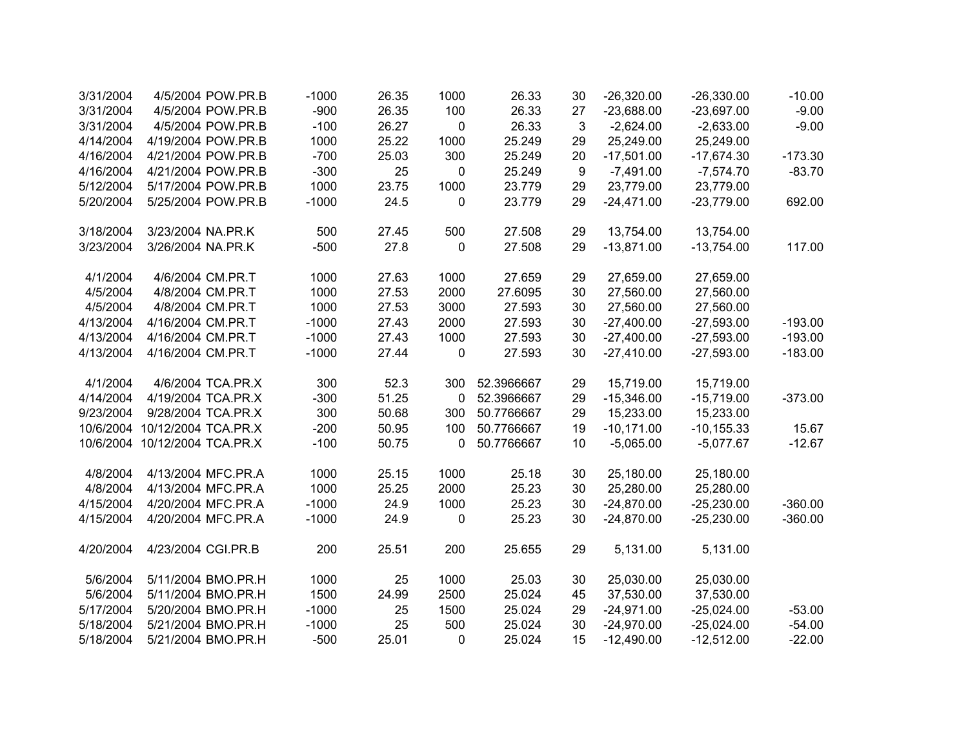| 3/31/2004 | 4/5/2004 POW.PR.B             | $-1000$ | 26.35 | 1000             | 26.33      | 30 | $-26,320.00$ | $-26,330.00$  | $-10.00$  |
|-----------|-------------------------------|---------|-------|------------------|------------|----|--------------|---------------|-----------|
| 3/31/2004 | 4/5/2004 POW.PR.B             | $-900$  | 26.35 | 100              | 26.33      | 27 | $-23,688.00$ | $-23,697.00$  | $-9.00$   |
| 3/31/2004 | 4/5/2004 POW.PR.B             | $-100$  | 26.27 | $\boldsymbol{0}$ | 26.33      | 3  | $-2,624.00$  | $-2,633.00$   | $-9.00$   |
| 4/14/2004 | 4/19/2004 POW.PR.B            | 1000    | 25.22 | 1000             | 25.249     | 29 | 25,249.00    | 25,249.00     |           |
| 4/16/2004 | 4/21/2004 POW.PR.B            | $-700$  | 25.03 | 300              | 25.249     | 20 | $-17,501.00$ | $-17,674.30$  | $-173.30$ |
| 4/16/2004 | 4/21/2004 POW.PR.B            | $-300$  | 25    | 0                | 25.249     | 9  | $-7,491.00$  | $-7,574.70$   | $-83.70$  |
| 5/12/2004 | 5/17/2004 POW.PR.B            | 1000    | 23.75 | 1000             | 23.779     | 29 | 23,779.00    | 23,779.00     |           |
| 5/20/2004 | 5/25/2004 POW.PR.B            | $-1000$ | 24.5  | 0                | 23.779     | 29 | $-24,471.00$ | $-23,779.00$  | 692.00    |
| 3/18/2004 | 3/23/2004 NA.PR.K             | 500     | 27.45 | 500              | 27.508     | 29 | 13,754.00    | 13,754.00     |           |
| 3/23/2004 | 3/26/2004 NA.PR.K             | $-500$  | 27.8  | $\mathbf 0$      | 27.508     | 29 | $-13,871.00$ | $-13,754.00$  | 117.00    |
| 4/1/2004  | 4/6/2004 CM.PR.T              | 1000    | 27.63 | 1000             | 27.659     | 29 | 27,659.00    | 27,659.00     |           |
| 4/5/2004  | 4/8/2004 CM.PR.T              | 1000    | 27.53 | 2000             | 27.6095    | 30 | 27,560.00    | 27,560.00     |           |
| 4/5/2004  | 4/8/2004 CM.PR.T              | 1000    | 27.53 | 3000             | 27.593     | 30 | 27,560.00    | 27,560.00     |           |
| 4/13/2004 | 4/16/2004 CM.PR.T             | $-1000$ | 27.43 | 2000             | 27.593     | 30 | $-27,400.00$ | $-27,593.00$  | $-193.00$ |
| 4/13/2004 | 4/16/2004 CM.PR.T             | $-1000$ | 27.43 | 1000             | 27.593     | 30 | $-27,400.00$ | $-27,593.00$  | $-193.00$ |
| 4/13/2004 | 4/16/2004 CM.PR.T             | $-1000$ | 27.44 | 0                | 27.593     | 30 | $-27,410.00$ | $-27,593.00$  | $-183.00$ |
| 4/1/2004  | 4/6/2004 TCA.PR.X             | 300     | 52.3  | 300              | 52.3966667 | 29 | 15,719.00    | 15,719.00     |           |
| 4/14/2004 | 4/19/2004 TCA.PR.X            | $-300$  | 51.25 | 0                | 52.3966667 | 29 | $-15,346.00$ | $-15,719.00$  | $-373.00$ |
| 9/23/2004 | 9/28/2004 TCA.PR.X            | 300     | 50.68 | 300              | 50.7766667 | 29 | 15,233.00    | 15,233.00     |           |
| 10/6/2004 | 10/12/2004 TCA.PR.X           | $-200$  | 50.95 | 100              | 50.7766667 | 19 | $-10,171.00$ | $-10, 155.33$ | 15.67     |
|           | 10/6/2004 10/12/2004 TCA.PR.X | $-100$  | 50.75 | 0                | 50.7766667 | 10 | $-5,065.00$  | $-5,077.67$   | $-12.67$  |
| 4/8/2004  | 4/13/2004 MFC.PR.A            | 1000    | 25.15 | 1000             | 25.18      | 30 | 25,180.00    | 25,180.00     |           |
| 4/8/2004  | 4/13/2004 MFC.PR.A            | 1000    | 25.25 | 2000             | 25.23      | 30 | 25,280.00    | 25,280.00     |           |
| 4/15/2004 | 4/20/2004 MFC.PR.A            | $-1000$ | 24.9  | 1000             | 25.23      | 30 | $-24,870.00$ | $-25,230.00$  | $-360.00$ |
| 4/15/2004 | 4/20/2004 MFC.PR.A            | $-1000$ | 24.9  | 0                | 25.23      | 30 | $-24,870.00$ | $-25,230.00$  | $-360.00$ |
| 4/20/2004 | 4/23/2004 CGI.PR.B            | 200     | 25.51 | 200              | 25.655     | 29 | 5,131.00     | 5,131.00      |           |
| 5/6/2004  | 5/11/2004 BMO.PR.H            | 1000    | 25    | 1000             | 25.03      | 30 | 25,030.00    | 25,030.00     |           |
| 5/6/2004  | 5/11/2004 BMO.PR.H            | 1500    | 24.99 | 2500             | 25.024     | 45 | 37,530.00    | 37,530.00     |           |
| 5/17/2004 | 5/20/2004 BMO.PR.H            | $-1000$ | 25    | 1500             | 25.024     | 29 | $-24,971.00$ | $-25,024.00$  | $-53.00$  |
| 5/18/2004 | 5/21/2004 BMO.PR.H            | $-1000$ | 25    | 500              | 25.024     | 30 | $-24,970.00$ | $-25,024.00$  | $-54.00$  |
| 5/18/2004 | 5/21/2004 BMO.PR.H            | $-500$  | 25.01 | 0                | 25.024     | 15 | $-12,490.00$ | $-12,512.00$  | $-22.00$  |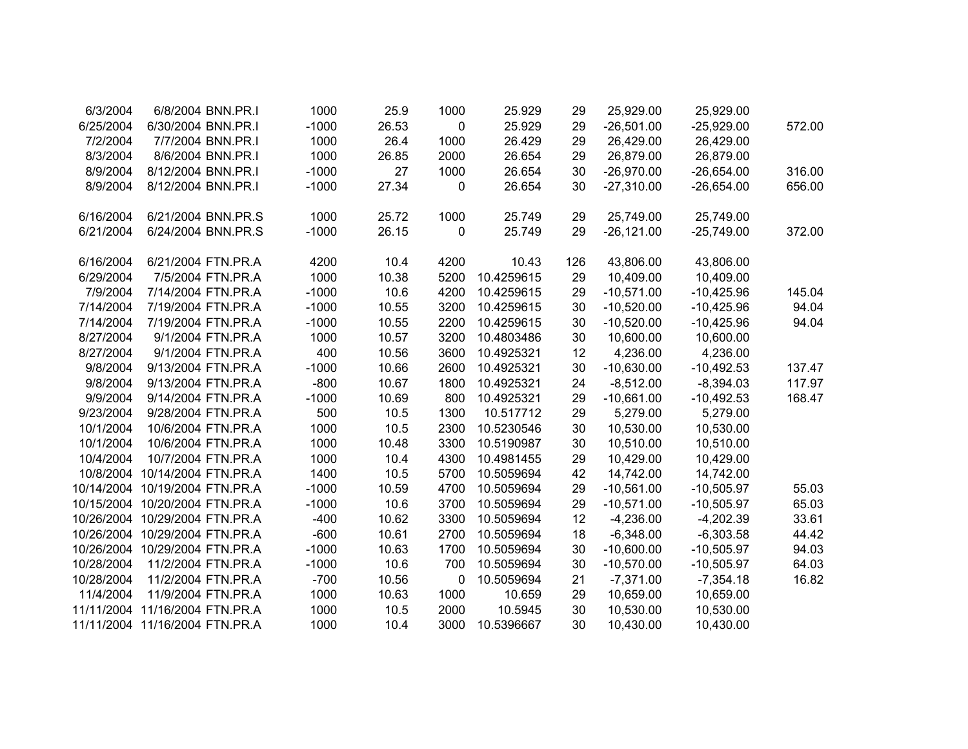| 6/3/2004   | 6/8/2004 BNN.PR.I              | 1000    | 25.9  | 1000        | 25.929     | 29  | 25,929.00     | 25,929.00    |        |
|------------|--------------------------------|---------|-------|-------------|------------|-----|---------------|--------------|--------|
| 6/25/2004  | 6/30/2004 BNN.PR.I             | $-1000$ | 26.53 | $\mathbf 0$ | 25.929     | 29  | $-26,501.00$  | $-25,929.00$ | 572.00 |
| 7/2/2004   | 7/7/2004 BNN.PR.I              | 1000    | 26.4  | 1000        | 26.429     | 29  | 26,429.00     | 26,429.00    |        |
| 8/3/2004   | 8/6/2004 BNN.PR.I              | 1000    | 26.85 | 2000        | 26.654     | 29  | 26,879.00     | 26,879.00    |        |
| 8/9/2004   | 8/12/2004 BNN.PR.I             | $-1000$ | 27    | 1000        | 26.654     | 30  | $-26,970.00$  | $-26,654.00$ | 316.00 |
| 8/9/2004   | 8/12/2004 BNN.PR.I             | $-1000$ | 27.34 | 0           | 26.654     | 30  | $-27,310.00$  | $-26,654.00$ | 656.00 |
| 6/16/2004  | 6/21/2004 BNN.PR.S             | 1000    | 25.72 | 1000        | 25.749     | 29  | 25,749.00     | 25,749.00    |        |
| 6/21/2004  | 6/24/2004 BNN.PR.S             | $-1000$ | 26.15 | $\mathbf 0$ | 25.749     | 29  | $-26, 121.00$ | $-25,749.00$ | 372.00 |
| 6/16/2004  | 6/21/2004 FTN.PR.A             | 4200    | 10.4  | 4200        | 10.43      | 126 | 43,806.00     | 43,806.00    |        |
| 6/29/2004  | 7/5/2004 FTN.PR.A              | 1000    | 10.38 | 5200        | 10.4259615 | 29  | 10,409.00     | 10,409.00    |        |
| 7/9/2004   | 7/14/2004 FTN.PR.A             | $-1000$ | 10.6  | 4200        | 10.4259615 | 29  | $-10,571.00$  | $-10,425.96$ | 145.04 |
| 7/14/2004  | 7/19/2004 FTN.PR.A             | $-1000$ | 10.55 | 3200        | 10.4259615 | 30  | $-10,520.00$  | $-10,425.96$ | 94.04  |
| 7/14/2004  | 7/19/2004 FTN.PR.A             | $-1000$ | 10.55 | 2200        | 10.4259615 | 30  | $-10,520.00$  | $-10,425.96$ | 94.04  |
| 8/27/2004  | 9/1/2004 FTN.PR.A              | 1000    | 10.57 | 3200        | 10.4803486 | 30  | 10,600.00     | 10,600.00    |        |
| 8/27/2004  | 9/1/2004 FTN.PR.A              | 400     | 10.56 | 3600        | 10.4925321 | 12  | 4,236.00      | 4,236.00     |        |
| 9/8/2004   | 9/13/2004 FTN.PR.A             | $-1000$ | 10.66 | 2600        | 10.4925321 | 30  | $-10,630.00$  | $-10,492.53$ | 137.47 |
| 9/8/2004   | 9/13/2004 FTN.PR.A             | $-800$  | 10.67 | 1800        | 10.4925321 | 24  | $-8,512.00$   | $-8,394.03$  | 117.97 |
| 9/9/2004   | 9/14/2004 FTN.PR.A             | $-1000$ | 10.69 | 800         | 10.4925321 | 29  | $-10,661.00$  | $-10,492.53$ | 168.47 |
| 9/23/2004  | 9/28/2004 FTN.PR.A             | 500     | 10.5  | 1300        | 10.517712  | 29  | 5,279.00      | 5,279.00     |        |
| 10/1/2004  | 10/6/2004 FTN.PR.A             | 1000    | 10.5  | 2300        | 10.5230546 | 30  | 10,530.00     | 10,530.00    |        |
| 10/1/2004  | 10/6/2004 FTN.PR.A             | 1000    | 10.48 | 3300        | 10.5190987 | 30  | 10,510.00     | 10,510.00    |        |
| 10/4/2004  | 10/7/2004 FTN.PR.A             | 1000    | 10.4  | 4300        | 10.4981455 | 29  | 10,429.00     | 10,429.00    |        |
|            | 10/8/2004 10/14/2004 FTN.PR.A  | 1400    | 10.5  | 5700        | 10.5059694 | 42  | 14,742.00     | 14,742.00    |        |
|            | 10/14/2004 10/19/2004 FTN.PR.A | $-1000$ | 10.59 | 4700        | 10.5059694 | 29  | $-10,561.00$  | $-10,505.97$ | 55.03  |
|            | 10/15/2004 10/20/2004 FTN.PR.A | $-1000$ | 10.6  | 3700        | 10.5059694 | 29  | $-10,571.00$  | $-10,505.97$ | 65.03  |
|            | 10/26/2004 10/29/2004 FTN.PR.A | $-400$  | 10.62 | 3300        | 10.5059694 | 12  | $-4,236.00$   | $-4,202.39$  | 33.61  |
|            | 10/26/2004 10/29/2004 FTN.PR.A | $-600$  | 10.61 | 2700        | 10.5059694 | 18  | $-6,348.00$   | $-6,303.58$  | 44.42  |
|            | 10/26/2004 10/29/2004 FTN.PR.A | $-1000$ | 10.63 | 1700        | 10.5059694 | 30  | $-10,600.00$  | $-10,505.97$ | 94.03  |
| 10/28/2004 | 11/2/2004 FTN.PR.A             | $-1000$ | 10.6  | 700         | 10.5059694 | 30  | $-10,570.00$  | $-10,505.97$ | 64.03  |
| 10/28/2004 | 11/2/2004 FTN.PR.A             | $-700$  | 10.56 | $\mathbf 0$ | 10.5059694 | 21  | $-7,371.00$   | $-7,354.18$  | 16.82  |
| 11/4/2004  | 11/9/2004 FTN.PR.A             | 1000    | 10.63 | 1000        | 10.659     | 29  | 10,659.00     | 10,659.00    |        |
|            | 11/11/2004 11/16/2004 FTN.PR.A | 1000    | 10.5  | 2000        | 10.5945    | 30  | 10,530.00     | 10,530.00    |        |
|            | 11/11/2004 11/16/2004 FTN.PR.A | 1000    | 10.4  | 3000        | 10.5396667 | 30  | 10,430.00     | 10,430.00    |        |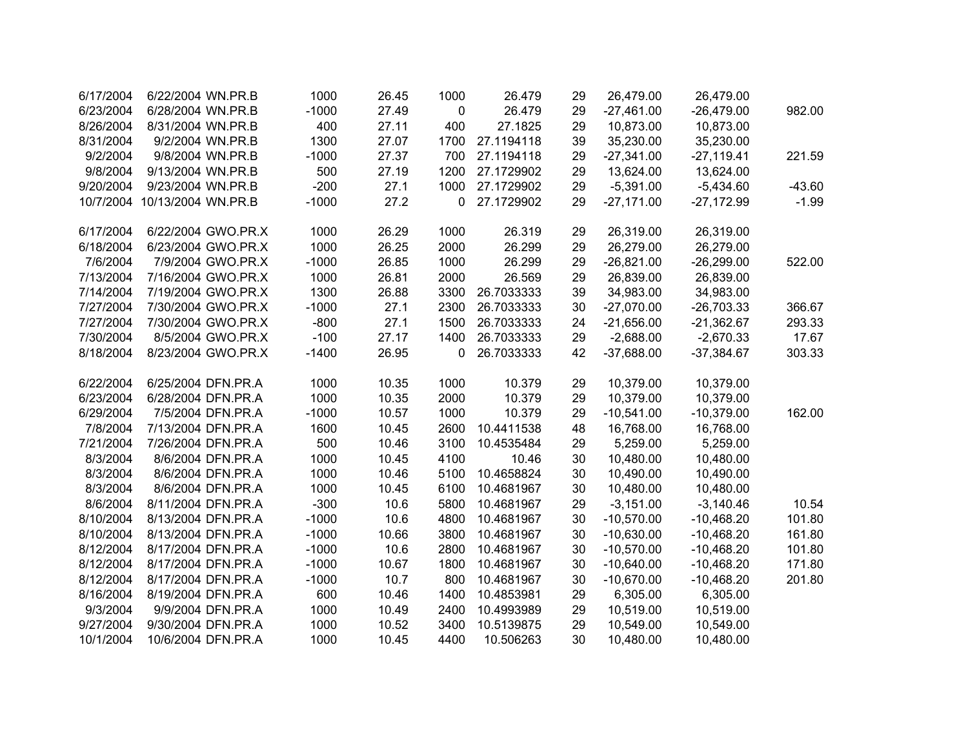| 6/17/2004 | 6/22/2004 WN.PR.B            | 1000    | 26.45 | 1000        | 26.479     | 29 | 26,479.00    | 26,479.00    |          |
|-----------|------------------------------|---------|-------|-------------|------------|----|--------------|--------------|----------|
| 6/23/2004 | 6/28/2004 WN.PR.B            | $-1000$ | 27.49 | $\mathbf 0$ | 26.479     | 29 | $-27,461.00$ | $-26,479.00$ | 982.00   |
| 8/26/2004 | 8/31/2004 WN.PR.B            | 400     | 27.11 | 400         | 27.1825    | 29 | 10,873.00    | 10,873.00    |          |
| 8/31/2004 | 9/2/2004 WN.PR.B             | 1300    | 27.07 | 1700        | 27.1194118 | 39 | 35,230.00    | 35,230.00    |          |
| 9/2/2004  | 9/8/2004 WN.PR.B             | $-1000$ | 27.37 | 700         | 27.1194118 | 29 | $-27,341.00$ | $-27,119.41$ | 221.59   |
| 9/8/2004  | 9/13/2004 WN.PR.B            | 500     | 27.19 | 1200        | 27.1729902 | 29 | 13,624.00    | 13,624.00    |          |
| 9/20/2004 | 9/23/2004 WN.PR.B            | $-200$  | 27.1  | 1000        | 27.1729902 | 29 | $-5,391.00$  | $-5,434.60$  | $-43.60$ |
|           | 10/7/2004 10/13/2004 WN.PR.B | $-1000$ | 27.2  | 0           | 27.1729902 | 29 | $-27,171.00$ | $-27,172.99$ | $-1.99$  |
|           |                              |         |       |             |            |    |              |              |          |
| 6/17/2004 | 6/22/2004 GWO.PR.X           | 1000    | 26.29 | 1000        | 26.319     | 29 | 26,319.00    | 26,319.00    |          |
| 6/18/2004 | 6/23/2004 GWO.PR.X           | 1000    | 26.25 | 2000        | 26.299     | 29 | 26,279.00    | 26,279.00    |          |
| 7/6/2004  | 7/9/2004 GWO.PR.X            | $-1000$ | 26.85 | 1000        | 26.299     | 29 | $-26,821.00$ | $-26,299.00$ | 522.00   |
| 7/13/2004 | 7/16/2004 GWO.PR.X           | 1000    | 26.81 | 2000        | 26.569     | 29 | 26,839.00    | 26,839.00    |          |
| 7/14/2004 | 7/19/2004 GWO.PR.X           | 1300    | 26.88 | 3300        | 26.7033333 | 39 | 34,983.00    | 34,983.00    |          |
| 7/27/2004 | 7/30/2004 GWO.PR.X           | $-1000$ | 27.1  | 2300        | 26.7033333 | 30 | $-27,070.00$ | $-26,703.33$ | 366.67   |
| 7/27/2004 | 7/30/2004 GWO.PR.X           | $-800$  | 27.1  | 1500        | 26.7033333 | 24 | $-21,656.00$ | $-21,362.67$ | 293.33   |
| 7/30/2004 | 8/5/2004 GWO.PR.X            | $-100$  | 27.17 | 1400        | 26.7033333 | 29 | $-2,688.00$  | $-2,670.33$  | 17.67    |
| 8/18/2004 | 8/23/2004 GWO.PR.X           | $-1400$ | 26.95 | 0           | 26.7033333 | 42 | $-37,688.00$ | $-37,384.67$ | 303.33   |
|           |                              |         |       |             |            |    |              |              |          |
| 6/22/2004 | 6/25/2004 DFN.PR.A           | 1000    | 10.35 | 1000        | 10.379     | 29 | 10,379.00    | 10,379.00    |          |
| 6/23/2004 | 6/28/2004 DFN.PR.A           | 1000    | 10.35 | 2000        | 10.379     | 29 | 10,379.00    | 10,379.00    |          |
| 6/29/2004 | 7/5/2004 DFN.PR.A            | $-1000$ | 10.57 | 1000        | 10.379     | 29 | $-10,541.00$ | $-10,379.00$ | 162.00   |
| 7/8/2004  | 7/13/2004 DFN.PR.A           | 1600    | 10.45 | 2600        | 10.4411538 | 48 | 16,768.00    | 16,768.00    |          |
| 7/21/2004 | 7/26/2004 DFN.PR.A           | 500     | 10.46 | 3100        | 10.4535484 | 29 | 5,259.00     | 5,259.00     |          |
| 8/3/2004  | 8/6/2004 DFN.PR.A            | 1000    | 10.45 | 4100        | 10.46      | 30 | 10,480.00    | 10,480.00    |          |
| 8/3/2004  | 8/6/2004 DFN.PR.A            | 1000    | 10.46 | 5100        | 10.4658824 | 30 | 10,490.00    | 10,490.00    |          |
| 8/3/2004  | 8/6/2004 DFN.PR.A            | 1000    | 10.45 | 6100        | 10.4681967 | 30 | 10,480.00    | 10,480.00    |          |
| 8/6/2004  | 8/11/2004 DFN.PR.A           | $-300$  | 10.6  | 5800        | 10.4681967 | 29 | $-3,151.00$  | $-3,140.46$  | 10.54    |
| 8/10/2004 | 8/13/2004 DFN.PR.A           | $-1000$ | 10.6  | 4800        | 10.4681967 | 30 | $-10,570.00$ | $-10,468.20$ | 101.80   |
| 8/10/2004 | 8/13/2004 DFN.PR.A           | $-1000$ | 10.66 | 3800        | 10.4681967 | 30 | $-10,630.00$ | $-10,468.20$ | 161.80   |
| 8/12/2004 | 8/17/2004 DFN.PR.A           | $-1000$ | 10.6  | 2800        | 10.4681967 | 30 | $-10,570.00$ | $-10,468.20$ | 101.80   |
| 8/12/2004 | 8/17/2004 DFN.PR.A           | $-1000$ | 10.67 | 1800        | 10.4681967 | 30 | $-10,640.00$ | $-10,468.20$ | 171.80   |
| 8/12/2004 | 8/17/2004 DFN.PR.A           | $-1000$ | 10.7  | 800         | 10.4681967 | 30 | $-10,670.00$ | $-10,468.20$ | 201.80   |
| 8/16/2004 | 8/19/2004 DFN.PR.A           | 600     | 10.46 | 1400        | 10.4853981 | 29 | 6,305.00     | 6,305.00     |          |
| 9/3/2004  | 9/9/2004 DFN.PR.A            | 1000    | 10.49 | 2400        | 10.4993989 | 29 | 10,519.00    | 10,519.00    |          |
| 9/27/2004 | 9/30/2004 DFN.PR.A           | 1000    | 10.52 | 3400        | 10.5139875 | 29 | 10,549.00    | 10,549.00    |          |
| 10/1/2004 | 10/6/2004 DFN.PR.A           | 1000    | 10.45 | 4400        | 10.506263  | 30 | 10,480.00    | 10,480.00    |          |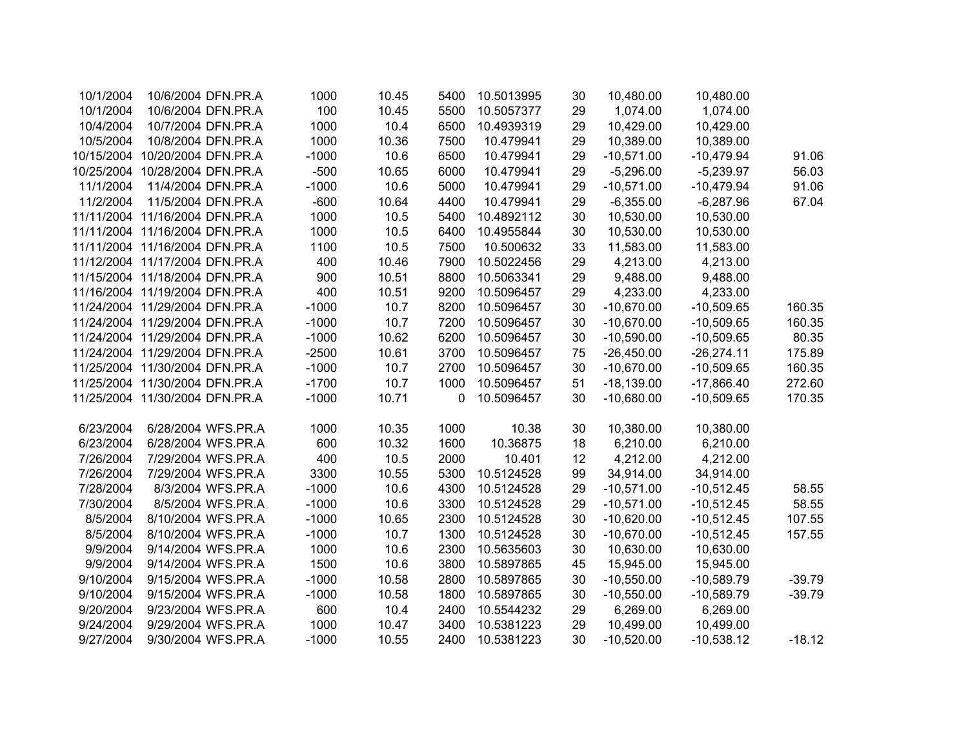| 10/1/2004 |                                | 10/6/2004 DFN.PR.A | 1000    | 10.45 | 5400     | 10.5013995 | 30 | 10,480.00    | 10,480.00    |          |
|-----------|--------------------------------|--------------------|---------|-------|----------|------------|----|--------------|--------------|----------|
| 10/1/2004 |                                | 10/6/2004 DFN.PR.A | 100     | 10.45 | 5500     | 10.5057377 | 29 | 1,074.00     | 1,074.00     |          |
| 10/4/2004 |                                | 10/7/2004 DFN.PR.A | 1000    | 10.4  | 6500     | 10.4939319 | 29 | 10,429.00    | 10,429.00    |          |
| 10/5/2004 |                                | 10/8/2004 DFN.PR.A | 1000    | 10.36 | 7500     | 10.479941  | 29 | 10,389.00    | 10,389.00    |          |
|           | 10/15/2004 10/20/2004 DFN.PR.A |                    | $-1000$ | 10.6  | 6500     | 10.479941  | 29 | $-10,571.00$ | $-10,479.94$ | 91.06    |
|           | 10/25/2004 10/28/2004 DFN.PR.A |                    | $-500$  | 10.65 | 6000     | 10.479941  | 29 | $-5,296.00$  | $-5,239.97$  | 56.03    |
| 11/1/2004 | 11/4/2004 DFN.PR.A             |                    | $-1000$ | 10.6  | 5000     | 10.479941  | 29 | $-10,571.00$ | $-10,479.94$ | 91.06    |
| 11/2/2004 | 11/5/2004 DFN.PR.A             |                    | $-600$  | 10.64 | 4400     | 10.479941  | 29 | $-6,355.00$  | $-6,287.96$  | 67.04    |
|           | 11/11/2004 11/16/2004 DFN.PR.A |                    | 1000    | 10.5  | 5400     | 10.4892112 | 30 | 10,530.00    | 10,530.00    |          |
|           | 11/11/2004 11/16/2004 DFN.PR.A |                    | 1000    | 10.5  | 6400     | 10.4955844 | 30 | 10,530.00    | 10,530.00    |          |
|           | 11/11/2004 11/16/2004 DFN.PR.A |                    | 1100    | 10.5  | 7500     | 10.500632  | 33 | 11,583.00    | 11,583.00    |          |
|           | 11/12/2004 11/17/2004 DFN.PR.A |                    | 400     | 10.46 | 7900     | 10.5022456 | 29 | 4,213.00     | 4,213.00     |          |
|           | 11/15/2004 11/18/2004 DFN.PR.A |                    | 900     | 10.51 | 8800     | 10.5063341 | 29 | 9,488.00     | 9,488.00     |          |
|           | 11/16/2004 11/19/2004 DFN.PR.A |                    | 400     | 10.51 | 9200     | 10.5096457 | 29 | 4,233.00     | 4,233.00     |          |
|           | 11/24/2004 11/29/2004 DFN.PR.A |                    | $-1000$ | 10.7  | 8200     | 10.5096457 | 30 | $-10,670.00$ | $-10,509.65$ | 160.35   |
|           | 11/24/2004 11/29/2004 DFN.PR.A |                    | $-1000$ | 10.7  | 7200     | 10.5096457 | 30 | $-10,670.00$ | $-10,509.65$ | 160.35   |
|           | 11/24/2004 11/29/2004 DFN.PR.A |                    | $-1000$ | 10.62 | 6200     | 10.5096457 | 30 | $-10,590.00$ | $-10,509.65$ | 80.35    |
|           | 11/24/2004 11/29/2004 DFN.PR.A |                    | $-2500$ | 10.61 | 3700     | 10.5096457 | 75 | $-26,450.00$ | $-26,274.11$ | 175.89   |
|           | 11/25/2004 11/30/2004 DFN.PR.A |                    | $-1000$ | 10.7  | 2700     | 10.5096457 | 30 | $-10,670.00$ | $-10,509.65$ | 160.35   |
|           | 11/25/2004 11/30/2004 DFN.PR.A |                    | $-1700$ | 10.7  | 1000     | 10.5096457 | 51 | $-18,139.00$ | $-17,866.40$ | 272.60   |
|           | 11/25/2004 11/30/2004 DFN.PR.A |                    | $-1000$ | 10.71 | $\Omega$ | 10.5096457 | 30 | $-10,680.00$ | $-10,509.65$ | 170.35   |
|           |                                |                    |         |       |          |            |    |              |              |          |
| 6/23/2004 |                                | 6/28/2004 WFS.PR.A | 1000    | 10.35 | 1000     | 10.38      | 30 | 10,380.00    | 10,380.00    |          |
| 6/23/2004 |                                | 6/28/2004 WFS.PR.A | 600     | 10.32 | 1600     | 10.36875   | 18 | 6,210.00     | 6,210.00     |          |
| 7/26/2004 |                                | 7/29/2004 WFS.PR.A | 400     | 10.5  | 2000     | 10.401     | 12 | 4,212.00     | 4,212.00     |          |
| 7/26/2004 |                                | 7/29/2004 WFS.PR.A | 3300    | 10.55 | 5300     | 10.5124528 | 99 | 34,914.00    | 34,914.00    |          |
| 7/28/2004 |                                | 8/3/2004 WFS.PR.A  | $-1000$ | 10.6  | 4300     | 10.5124528 | 29 | $-10,571.00$ | $-10,512.45$ | 58.55    |
| 7/30/2004 |                                | 8/5/2004 WFS.PR.A  | $-1000$ | 10.6  | 3300     | 10.5124528 | 29 | $-10,571.00$ | $-10,512.45$ | 58.55    |
| 8/5/2004  |                                | 8/10/2004 WFS.PR.A | $-1000$ | 10.65 | 2300     | 10.5124528 | 30 | $-10,620.00$ | $-10,512.45$ | 107.55   |
| 8/5/2004  |                                | 8/10/2004 WFS.PR.A | $-1000$ | 10.7  | 1300     | 10.5124528 | 30 | $-10,670.00$ | $-10,512.45$ | 157.55   |
| 9/9/2004  |                                | 9/14/2004 WFS.PR.A | 1000    | 10.6  | 2300     | 10.5635603 | 30 | 10,630.00    | 10,630.00    |          |
| 9/9/2004  |                                | 9/14/2004 WFS.PR.A | 1500    | 10.6  | 3800     | 10.5897865 | 45 | 15,945.00    | 15,945.00    |          |
| 9/10/2004 |                                | 9/15/2004 WFS.PR.A | $-1000$ | 10.58 | 2800     | 10.5897865 | 30 | $-10,550.00$ | $-10,589.79$ | $-39.79$ |
| 9/10/2004 |                                | 9/15/2004 WFS.PR.A | $-1000$ | 10.58 | 1800     | 10.5897865 | 30 | $-10,550.00$ | $-10,589.79$ | $-39.79$ |
| 9/20/2004 |                                | 9/23/2004 WFS.PR.A | 600     | 10.4  | 2400     | 10.5544232 | 29 | 6,269.00     | 6,269.00     |          |
| 9/24/2004 |                                | 9/29/2004 WFS.PR.A | 1000    | 10.47 | 3400     | 10.5381223 | 29 | 10,499.00    | 10,499.00    |          |
| 9/27/2004 |                                | 9/30/2004 WFS.PR.A | $-1000$ | 10.55 | 2400     | 10.5381223 | 30 | $-10,520.00$ | $-10,538.12$ | $-18.12$ |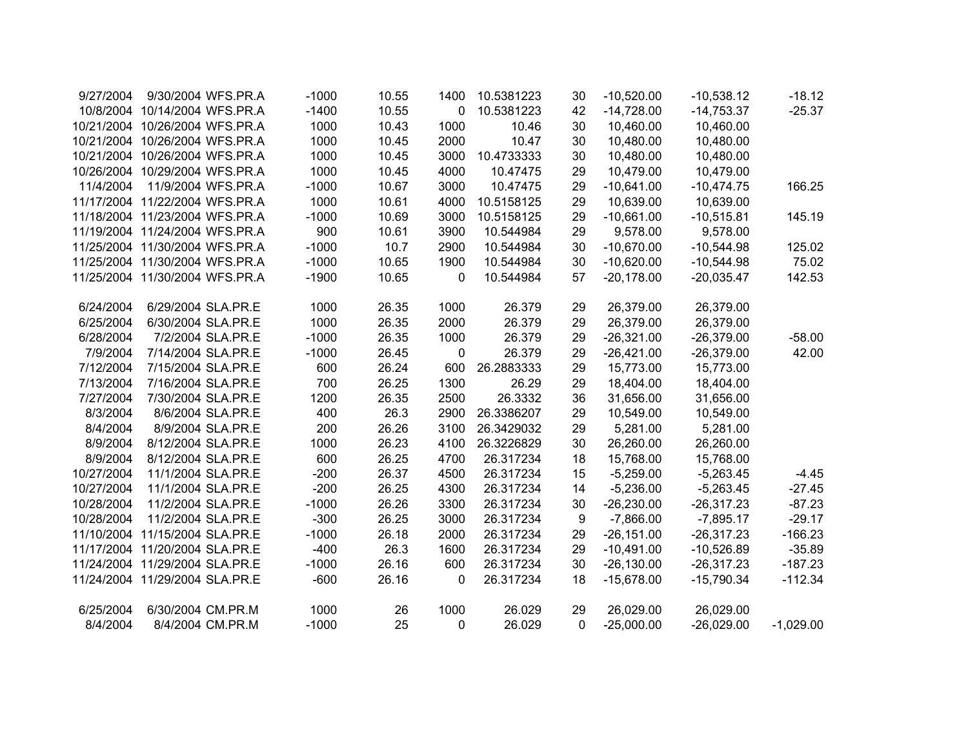| 9/27/2004  |                                | 9/30/2004 WFS.PR.A | $-1000$ | 10.55 | 1400             | 10.5381223 | 30 | $-10,520.00$  | $-10,538.12$ | $-18.12$    |
|------------|--------------------------------|--------------------|---------|-------|------------------|------------|----|---------------|--------------|-------------|
|            | 10/8/2004 10/14/2004 WFS.PR.A  |                    | $-1400$ | 10.55 | $\mathbf 0$      | 10.5381223 | 42 | $-14,728.00$  | $-14,753.37$ | $-25.37$    |
|            | 10/21/2004 10/26/2004 WFS.PR.A |                    | 1000    | 10.43 | 1000             | 10.46      | 30 | 10,460.00     | 10,460.00    |             |
|            | 10/21/2004 10/26/2004 WFS.PR.A |                    | 1000    | 10.45 | 2000             | 10.47      | 30 | 10,480.00     | 10,480.00    |             |
|            | 10/21/2004 10/26/2004 WFS.PR.A |                    | 1000    | 10.45 | 3000             | 10.4733333 | 30 | 10,480.00     | 10,480.00    |             |
|            | 10/26/2004 10/29/2004 WFS.PR.A |                    | 1000    | 10.45 | 4000             | 10.47475   | 29 | 10,479.00     | 10,479.00    |             |
| 11/4/2004  |                                | 11/9/2004 WFS.PR.A | $-1000$ | 10.67 | 3000             | 10.47475   | 29 | $-10,641.00$  | $-10,474.75$ | 166.25      |
|            | 11/17/2004 11/22/2004 WFS.PR.A |                    | 1000    | 10.61 | 4000             | 10.5158125 | 29 | 10,639.00     | 10,639.00    |             |
|            | 11/18/2004 11/23/2004 WFS.PR.A |                    | $-1000$ | 10.69 | 3000             | 10.5158125 | 29 | $-10,661.00$  | $-10,515.81$ | 145.19      |
|            | 11/19/2004 11/24/2004 WFS.PR.A |                    | 900     | 10.61 | 3900             | 10.544984  | 29 | 9,578.00      | 9,578.00     |             |
|            | 11/25/2004 11/30/2004 WFS.PR.A |                    | $-1000$ | 10.7  | 2900             | 10.544984  | 30 | $-10,670.00$  | $-10,544.98$ | 125.02      |
|            | 11/25/2004 11/30/2004 WFS.PR.A |                    | $-1000$ | 10.65 | 1900             | 10.544984  | 30 | $-10,620.00$  | $-10,544.98$ | 75.02       |
|            | 11/25/2004 11/30/2004 WFS.PR.A |                    | $-1900$ | 10.65 | 0                | 10.544984  | 57 | $-20,178.00$  | $-20,035.47$ | 142.53      |
|            |                                |                    |         |       |                  |            |    |               |              |             |
| 6/24/2004  | 6/29/2004 SLA.PR.E             |                    | 1000    | 26.35 | 1000             | 26.379     | 29 | 26,379.00     | 26,379.00    |             |
| 6/25/2004  | 6/30/2004 SLA.PR.E             |                    | 1000    | 26.35 | 2000             | 26.379     | 29 | 26,379.00     | 26,379.00    |             |
| 6/28/2004  |                                | 7/2/2004 SLA.PR.E  | $-1000$ | 26.35 | 1000             | 26.379     | 29 | $-26,321.00$  | $-26,379.00$ | $-58.00$    |
| 7/9/2004   | 7/14/2004 SLA.PR.E             |                    | $-1000$ | 26.45 | $\boldsymbol{0}$ | 26.379     | 29 | $-26,421.00$  | $-26,379.00$ | 42.00       |
| 7/12/2004  | 7/15/2004 SLA.PR.E             |                    | 600     | 26.24 | 600              | 26.2883333 | 29 | 15,773.00     | 15,773.00    |             |
| 7/13/2004  | 7/16/2004 SLA.PR.E             |                    | 700     | 26.25 | 1300             | 26.29      | 29 | 18,404.00     | 18,404.00    |             |
| 7/27/2004  |                                | 7/30/2004 SLA.PR.E | 1200    | 26.35 | 2500             | 26.3332    | 36 | 31,656.00     | 31,656.00    |             |
| 8/3/2004   |                                | 8/6/2004 SLA.PR.E  | 400     | 26.3  | 2900             | 26.3386207 | 29 | 10,549.00     | 10,549.00    |             |
| 8/4/2004   |                                | 8/9/2004 SLA.PR.E  | 200     | 26.26 | 3100             | 26.3429032 | 29 | 5,281.00      | 5,281.00     |             |
| 8/9/2004   | 8/12/2004 SLA.PR.E             |                    | 1000    | 26.23 | 4100             | 26.3226829 | 30 | 26,260.00     | 26,260.00    |             |
| 8/9/2004   | 8/12/2004 SLA.PR.E             |                    | 600     | 26.25 | 4700             | 26.317234  | 18 | 15,768.00     | 15,768.00    |             |
| 10/27/2004 | 11/1/2004 SLA.PR.E             |                    | $-200$  | 26.37 | 4500             | 26.317234  | 15 | $-5,259.00$   | $-5,263.45$  | $-4.45$     |
| 10/27/2004 | 11/1/2004 SLA.PR.E             |                    | $-200$  | 26.25 | 4300             | 26.317234  | 14 | $-5,236.00$   | $-5,263.45$  | $-27.45$    |
| 10/28/2004 | 11/2/2004 SLA.PR.E             |                    | $-1000$ | 26.26 | 3300             | 26.317234  | 30 | $-26,230.00$  | $-26,317.23$ | $-87.23$    |
| 10/28/2004 | 11/2/2004 SLA.PR.E             |                    | $-300$  | 26.25 | 3000             | 26.317234  | 9  | $-7,866.00$   | $-7,895.17$  | $-29.17$    |
|            | 11/10/2004 11/15/2004 SLA.PR.E |                    | $-1000$ | 26.18 | 2000             | 26.317234  | 29 | $-26, 151.00$ | $-26,317.23$ | $-166.23$   |
|            | 11/17/2004 11/20/2004 SLA.PR.E |                    | $-400$  | 26.3  | 1600             | 26.317234  | 29 | $-10,491.00$  | $-10,526.89$ | $-35.89$    |
|            | 11/24/2004 11/29/2004 SLA.PR.E |                    | $-1000$ | 26.16 | 600              | 26.317234  | 30 | $-26,130.00$  | $-26,317.23$ | $-187.23$   |
|            | 11/24/2004 11/29/2004 SLA.PR.E |                    | $-600$  | 26.16 | 0                | 26.317234  | 18 | $-15,678.00$  | $-15,790.34$ | $-112.34$   |
|            |                                |                    |         |       |                  |            |    |               |              |             |
| 6/25/2004  | 6/30/2004 CM.PR.M              |                    | 1000    | 26    | 1000             | 26.029     | 29 | 26,029.00     | 26,029.00    |             |
| 8/4/2004   |                                | 8/4/2004 CM.PR.M   | $-1000$ | 25    | 0                | 26.029     | 0  | $-25,000.00$  | $-26,029.00$ | $-1,029.00$ |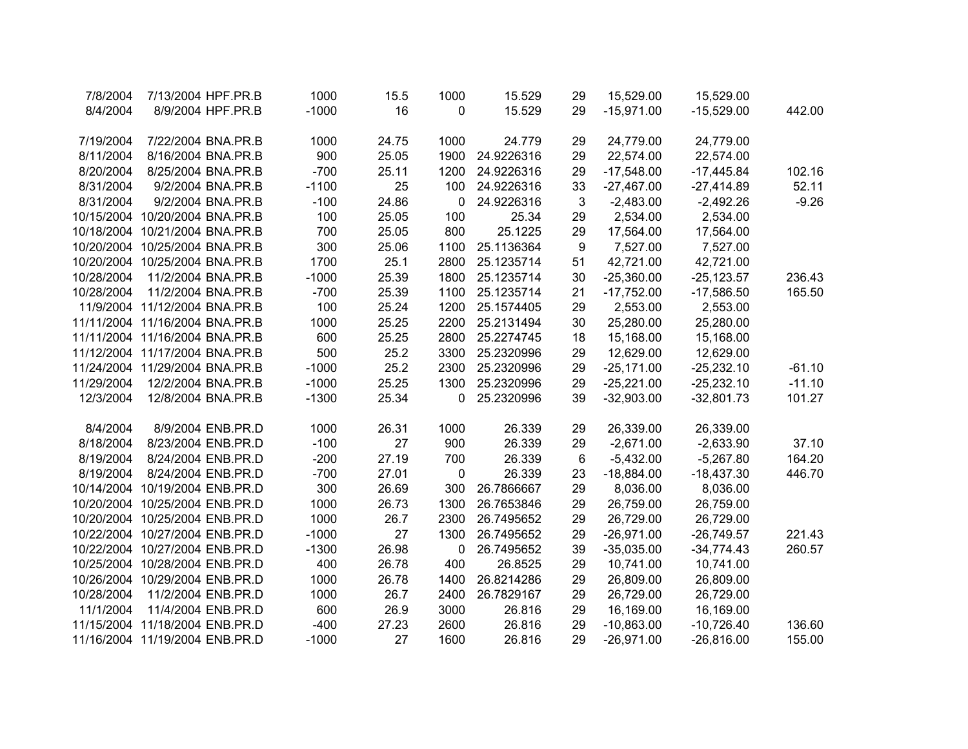| 7/8/2004   | 7/13/2004 HPF.PR.B             |                    | 1000    | 15.5  | 1000        | 15.529     | 29               | 15,529.00    | 15,529.00     |          |
|------------|--------------------------------|--------------------|---------|-------|-------------|------------|------------------|--------------|---------------|----------|
| 8/4/2004   |                                | 8/9/2004 HPF.PR.B  | $-1000$ | 16    | 0           | 15.529     | 29               | $-15,971.00$ | $-15,529.00$  | 442.00   |
|            |                                |                    |         |       |             |            |                  |              |               |          |
| 7/19/2004  | 7/22/2004 BNA.PR.B             |                    | 1000    | 24.75 | 1000        | 24.779     | 29               | 24,779.00    | 24,779.00     |          |
| 8/11/2004  | 8/16/2004 BNA.PR.B             |                    | 900     | 25.05 | 1900        | 24.9226316 | 29               | 22,574.00    | 22,574.00     |          |
| 8/20/2004  | 8/25/2004 BNA.PR.B             |                    | $-700$  | 25.11 | 1200        | 24.9226316 | 29               | $-17,548.00$ | $-17,445.84$  | 102.16   |
| 8/31/2004  |                                | 9/2/2004 BNA.PR.B  | $-1100$ | 25    | 100         | 24.9226316 | 33               | $-27,467.00$ | $-27,414.89$  | 52.11    |
| 8/31/2004  |                                | 9/2/2004 BNA.PR.B  | $-100$  | 24.86 | $\mathbf 0$ | 24.9226316 | $\mathbf{3}$     | $-2,483.00$  | $-2,492.26$   | $-9.26$  |
|            | 10/15/2004 10/20/2004 BNA.PR.B |                    | 100     | 25.05 | 100         | 25.34      | 29               | 2,534.00     | 2,534.00      |          |
|            | 10/18/2004 10/21/2004 BNA.PR.B |                    | 700     | 25.05 | 800         | 25.1225    | 29               | 17,564.00    | 17,564.00     |          |
|            | 10/20/2004 10/25/2004 BNA.PR.B |                    | 300     | 25.06 | 1100        | 25.1136364 | $\boldsymbol{9}$ | 7,527.00     | 7,527.00      |          |
|            | 10/20/2004 10/25/2004 BNA.PR.B |                    | 1700    | 25.1  | 2800        | 25.1235714 | 51               | 42,721.00    | 42,721.00     |          |
| 10/28/2004 | 11/2/2004 BNA.PR.B             |                    | $-1000$ | 25.39 | 1800        | 25.1235714 | 30               | $-25,360.00$ | $-25, 123.57$ | 236.43   |
| 10/28/2004 | 11/2/2004 BNA.PR.B             |                    | $-700$  | 25.39 | 1100        | 25.1235714 | 21               | $-17,752.00$ | $-17,586.50$  | 165.50   |
|            | 11/9/2004 11/12/2004 BNA.PR.B  |                    | 100     | 25.24 | 1200        | 25.1574405 | 29               | 2,553.00     | 2,553.00      |          |
|            | 11/11/2004 11/16/2004 BNA.PR.B |                    | 1000    | 25.25 | 2200        | 25.2131494 | 30               | 25,280.00    | 25,280.00     |          |
|            | 11/11/2004 11/16/2004 BNA.PR.B |                    | 600     | 25.25 | 2800        | 25.2274745 | 18               | 15,168.00    | 15,168.00     |          |
|            | 11/12/2004 11/17/2004 BNA.PR.B |                    | 500     | 25.2  | 3300        | 25.2320996 | 29               | 12,629.00    | 12,629.00     |          |
|            | 11/24/2004 11/29/2004 BNA.PR.B |                    | $-1000$ | 25.2  | 2300        | 25.2320996 | 29               | $-25,171.00$ | $-25,232.10$  | $-61.10$ |
| 11/29/2004 | 12/2/2004 BNA.PR.B             |                    | $-1000$ | 25.25 | 1300        | 25.2320996 | 29               | $-25,221.00$ | $-25,232.10$  | $-11.10$ |
| 12/3/2004  | 12/8/2004 BNA.PR.B             |                    | $-1300$ | 25.34 | $\mathbf 0$ | 25.2320996 | 39               | $-32,903.00$ | $-32,801.73$  | 101.27   |
|            |                                |                    |         |       |             |            |                  |              |               |          |
| 8/4/2004   |                                | 8/9/2004 ENB.PR.D  | 1000    | 26.31 | 1000        | 26.339     | 29               | 26,339.00    | 26,339.00     |          |
| 8/18/2004  |                                | 8/23/2004 ENB.PR.D | $-100$  | 27    | 900         | 26.339     | 29               | $-2,671.00$  | $-2,633.90$   | 37.10    |
| 8/19/2004  |                                | 8/24/2004 ENB.PR.D | $-200$  | 27.19 | 700         | 26.339     | 6                | $-5,432.00$  | $-5,267.80$   | 164.20   |
| 8/19/2004  |                                | 8/24/2004 ENB.PR.D | $-700$  | 27.01 | $\pmb{0}$   | 26.339     | 23               | $-18,884.00$ | $-18,437.30$  | 446.70   |
|            | 10/14/2004 10/19/2004 ENB.PR.D |                    | 300     | 26.69 | 300         | 26.7866667 | 29               | 8,036.00     | 8,036.00      |          |
|            | 10/20/2004 10/25/2004 ENB.PR.D |                    | 1000    | 26.73 | 1300        | 26.7653846 | 29               | 26,759.00    | 26,759.00     |          |
|            | 10/20/2004 10/25/2004 ENB.PR.D |                    | 1000    | 26.7  | 2300        | 26.7495652 | 29               | 26,729.00    | 26,729.00     |          |
|            | 10/22/2004 10/27/2004 ENB.PR.D |                    | $-1000$ | 27    | 1300        | 26.7495652 | 29               | $-26,971.00$ | $-26,749.57$  | 221.43   |
|            | 10/22/2004 10/27/2004 ENB.PR.D |                    | $-1300$ | 26.98 | $\mathbf 0$ | 26.7495652 | 39               | $-35,035.00$ | $-34,774.43$  | 260.57   |
|            | 10/25/2004 10/28/2004 ENB.PR.D |                    | 400     | 26.78 | 400         | 26.8525    | 29               | 10,741.00    | 10,741.00     |          |
|            | 10/26/2004 10/29/2004 ENB.PR.D |                    | 1000    | 26.78 | 1400        | 26.8214286 | 29               | 26,809.00    | 26,809.00     |          |
| 10/28/2004 | 11/2/2004 ENB.PR.D             |                    | 1000    | 26.7  | 2400        | 26.7829167 | 29               | 26,729.00    | 26,729.00     |          |
| 11/1/2004  | 11/4/2004 ENB.PR.D             |                    | 600     | 26.9  | 3000        | 26.816     | 29               | 16,169.00    | 16,169.00     |          |
|            | 11/15/2004 11/18/2004 ENB.PR.D |                    | $-400$  | 27.23 | 2600        | 26.816     | 29               | $-10,863.00$ | $-10,726.40$  | 136.60   |
|            | 11/16/2004 11/19/2004 ENB.PR.D |                    | $-1000$ | 27    | 1600        | 26.816     | 29               | $-26,971.00$ | $-26,816.00$  | 155.00   |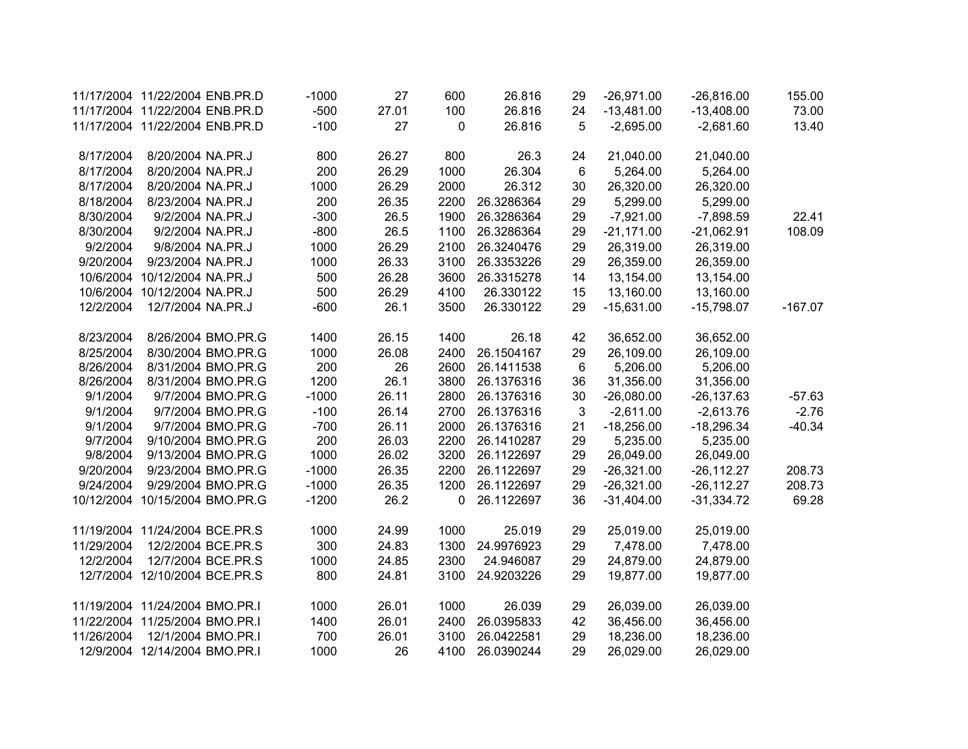|            | 11/17/2004 11/22/2004 ENB.PR.D |                    | $-1000$ | 27    | 600  | 26.816     | 29 | $-26,971.00$ | $-26,816.00$  | 155.00    |
|------------|--------------------------------|--------------------|---------|-------|------|------------|----|--------------|---------------|-----------|
|            | 11/17/2004 11/22/2004 ENB.PR.D |                    | $-500$  | 27.01 | 100  | 26.816     | 24 | $-13,481.00$ | $-13,408.00$  | 73.00     |
|            | 11/17/2004 11/22/2004 ENB.PR.D |                    | $-100$  | 27    | 0    | 26.816     | 5  | $-2,695.00$  | $-2,681.60$   | 13.40     |
| 8/17/2004  | 8/20/2004 NA.PR.J              |                    | 800     | 26.27 | 800  | 26.3       | 24 | 21,040.00    | 21,040.00     |           |
| 8/17/2004  | 8/20/2004 NA.PR.J              |                    | 200     | 26.29 | 1000 | 26.304     | 6  | 5,264.00     | 5,264.00      |           |
| 8/17/2004  | 8/20/2004 NA.PR.J              |                    | 1000    | 26.29 | 2000 | 26.312     | 30 | 26,320.00    | 26,320.00     |           |
| 8/18/2004  | 8/23/2004 NA.PR.J              |                    | 200     | 26.35 | 2200 | 26.3286364 | 29 | 5,299.00     | 5,299.00      |           |
| 8/30/2004  | 9/2/2004 NA.PR.J               |                    | $-300$  | 26.5  | 1900 | 26.3286364 | 29 | $-7,921.00$  | $-7,898.59$   | 22.41     |
| 8/30/2004  | 9/2/2004 NA.PR.J               |                    | $-800$  | 26.5  | 1100 | 26.3286364 | 29 | $-21,171.00$ | $-21,062.91$  | 108.09    |
| 9/2/2004   | 9/8/2004 NA.PR.J               |                    | 1000    | 26.29 | 2100 | 26.3240476 | 29 | 26,319.00    | 26,319.00     |           |
| 9/20/2004  | 9/23/2004 NA.PR.J              |                    | 1000    | 26.33 | 3100 | 26.3353226 | 29 | 26,359.00    | 26,359.00     |           |
|            | 10/6/2004 10/12/2004 NA.PR.J   |                    | 500     | 26.28 | 3600 | 26.3315278 | 14 | 13,154.00    | 13,154.00     |           |
|            | 10/6/2004 10/12/2004 NA.PR.J   |                    | 500     | 26.29 | 4100 | 26.330122  | 15 | 13,160.00    | 13,160.00     |           |
| 12/2/2004  | 12/7/2004 NA.PR.J              |                    | $-600$  | 26.1  | 3500 | 26.330122  | 29 | $-15,631.00$ | $-15,798.07$  | $-167.07$ |
| 8/23/2004  |                                | 8/26/2004 BMO.PR.G | 1400    | 26.15 | 1400 | 26.18      | 42 | 36,652.00    | 36,652.00     |           |
| 8/25/2004  |                                | 8/30/2004 BMO.PR.G | 1000    | 26.08 | 2400 | 26.1504167 | 29 | 26,109.00    | 26,109.00     |           |
| 8/26/2004  |                                | 8/31/2004 BMO.PR.G | 200     | 26    | 2600 | 26.1411538 | 6  | 5,206.00     | 5,206.00      |           |
| 8/26/2004  |                                | 8/31/2004 BMO.PR.G | 1200    | 26.1  | 3800 | 26.1376316 | 36 | 31,356.00    | 31,356.00     |           |
| 9/1/2004   |                                | 9/7/2004 BMO.PR.G  | $-1000$ | 26.11 | 2800 | 26.1376316 | 30 | $-26,080.00$ | $-26, 137.63$ | $-57.63$  |
| 9/1/2004   |                                | 9/7/2004 BMO.PR.G  | $-100$  | 26.14 | 2700 | 26.1376316 | 3  | $-2,611.00$  | $-2,613.76$   | $-2.76$   |
| 9/1/2004   |                                | 9/7/2004 BMO.PR.G  | $-700$  | 26.11 | 2000 | 26.1376316 | 21 | $-18,256.00$ | $-18,296.34$  | $-40.34$  |
| 9/7/2004   |                                | 9/10/2004 BMO.PR.G | 200     | 26.03 | 2200 | 26.1410287 | 29 | 5,235.00     | 5,235.00      |           |
| 9/8/2004   |                                | 9/13/2004 BMO.PR.G | 1000    | 26.02 | 3200 | 26.1122697 | 29 | 26,049.00    | 26,049.00     |           |
| 9/20/2004  |                                | 9/23/2004 BMO.PR.G | $-1000$ | 26.35 | 2200 | 26.1122697 | 29 | $-26,321.00$ | $-26, 112.27$ | 208.73    |
| 9/24/2004  |                                | 9/29/2004 BMO.PR.G | $-1000$ | 26.35 | 1200 | 26.1122697 | 29 | $-26,321.00$ | $-26, 112.27$ | 208.73    |
|            | 10/12/2004 10/15/2004 BMO.PR.G |                    | $-1200$ | 26.2  | 0    | 26.1122697 | 36 | $-31,404.00$ | $-31,334.72$  | 69.28     |
|            | 11/19/2004 11/24/2004 BCE.PR.S |                    | 1000    | 24.99 | 1000 | 25.019     | 29 | 25,019.00    | 25,019.00     |           |
| 11/29/2004 |                                | 12/2/2004 BCE.PR.S | 300     | 24.83 | 1300 | 24.9976923 | 29 | 7,478.00     | 7,478.00      |           |
| 12/2/2004  |                                | 12/7/2004 BCE.PR.S | 1000    | 24.85 | 2300 | 24.946087  | 29 | 24,879.00    | 24,879.00     |           |
|            | 12/7/2004 12/10/2004 BCE.PR.S  |                    | 800     | 24.81 | 3100 | 24.9203226 | 29 | 19,877.00    | 19,877.00     |           |
|            | 11/19/2004 11/24/2004 BMO.PR.I |                    | 1000    | 26.01 | 1000 | 26.039     | 29 | 26,039.00    | 26,039.00     |           |
|            | 11/22/2004 11/25/2004 BMO.PR.I |                    | 1400    | 26.01 | 2400 | 26.0395833 | 42 | 36,456.00    | 36,456.00     |           |
| 11/26/2004 | 12/1/2004 BMO.PR.I             |                    | 700     | 26.01 | 3100 | 26.0422581 | 29 | 18,236.00    | 18,236.00     |           |
|            | 12/9/2004 12/14/2004 BMO.PR.I  |                    | 1000    | 26    | 4100 | 26.0390244 | 29 | 26,029.00    | 26,029.00     |           |